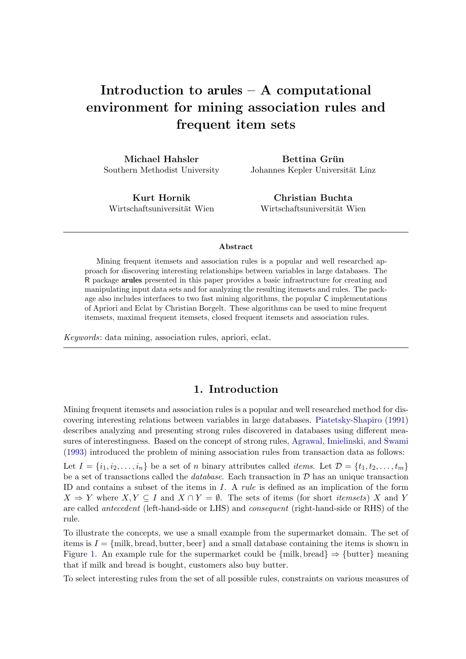# Introduction to arules – A computational environment for mining association rules and frequent item sets

Michael Hahsler Southern Methodist University

Bettina Grün Johannes Kepler Universität Linz

Kurt Hornik Wirtschaftsuniversität Wien

Christian Buchta Wirtschaftsuniversität Wien

#### Abstract

Mining frequent itemsets and association rules is a popular and well researched approach for discovering interesting relationships between variables in large databases. The R package arules presented in this paper provides a basic infrastructure for creating and manipulating input data sets and for analyzing the resulting itemsets and rules. The package also includes interfaces to two fast mining algorithms, the popular C implementations of Apriori and Eclat by Christian Borgelt. These algorithms can be used to mine frequent itemsets, maximal frequent itemsets, closed frequent itemsets and association rules.

*Keywords*: data mining, association rules, apriori, eclat.

# 1. Introduction

Mining frequent itemsets and association rules is a popular and well researched method for discovering interesting relations between variables in large databases. [Piatetsky-Shapiro](#page-35-0) [\(1991\)](#page-35-0) describes analyzing and presenting strong rules discovered in databases using different measures of interestingness. Based on the concept of strong rules, [Agrawal, Imielinski, and Swami](#page-33-0) [\(1993\)](#page-33-0) introduced the problem of mining association rules from transaction data as follows: Let  $I = \{i_1, i_2, \ldots, i_n\}$  be a set of n binary attributes called *items*. Let  $\mathcal{D} = \{t_1, t_2, \ldots, t_m\}$ be a set of transactions called the *database*. Each transaction in D has an unique transaction ID and contains a subset of the items in I. A *rule* is defined as an implication of the form  $X \Rightarrow Y$  where  $X, Y \subseteq I$  and  $X \cap Y = \emptyset$ . The sets of items (for short *itemsets*) X and Y are called *antecedent* (left-hand-side or LHS) and *consequent* (right-hand-side or RHS) of the rule.

To illustrate the concepts, we use a small example from the supermarket domain. The set of items is  $I = \{m$ ilk, bread, butter, beer} and a small database containing the items is shown in Figure [1.](#page-1-0) An example rule for the supermarket could be  $\{\text{milk}, \text{bread}\} \Rightarrow \{\text{butter}\}\$  meaning that if milk and bread is bought, customers also buy butter.

To select interesting rules from the set of all possible rules, constraints on various measures of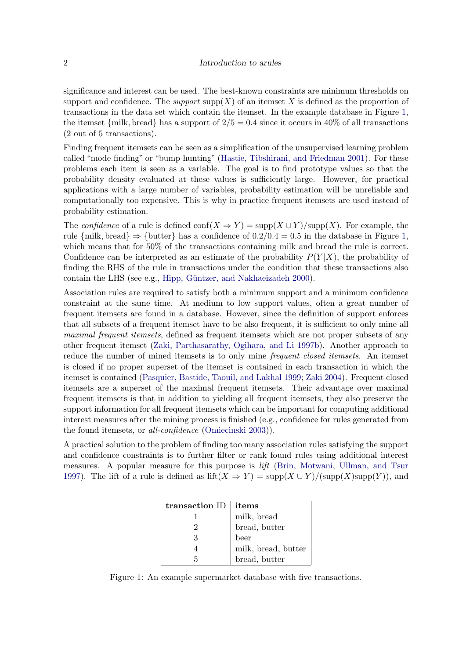#### 2 Introduction to arules

significance and interest can be used. The best-known constraints are minimum thresholds on support and confidence. The *support*  $\text{supp}(X)$  of an itemset X is defined as the proportion of transactions in the data set which contain the itemset. In the example database in Figure [1,](#page-1-0) the itemset {milk, bread} has a support of  $2/5 = 0.4$  since it occurs in 40% of all transactions (2 out of 5 transactions).

Finding frequent itemsets can be seen as a simplification of the unsupervised learning problem called "mode finding" or "bump hunting" [\(Hastie, Tibshirani, and Friedman 2001\)](#page-35-1). For these problems each item is seen as a variable. The goal is to find prototype values so that the probability density evaluated at these values is sufficiently large. However, for practical applications with a large number of variables, probability estimation will be unreliable and computationally too expensive. This is why in practice frequent itemsets are used instead of probability estimation.

The *confidence* of a rule is defined conf( $X \Rightarrow Y$ ) = supp( $X \cup Y$ )/supp(X). For example, the rule {milk, bread}  $\Rightarrow$  {butter} has a confidence of  $0.2/0.4 = 0.5$  in the database in Figure [1,](#page-1-0) which means that for 50% of the transactions containing milk and bread the rule is correct. Confidence can be interpreted as an estimate of the probability  $P(Y|X)$ , the probability of finding the RHS of the rule in transactions under the condition that these transactions also contain the LHS (see e.g., Hipp, Güntzer, and Nakhaeizadeh 2000).

Association rules are required to satisfy both a minimum support and a minimum confidence constraint at the same time. At medium to low support values, often a great number of frequent itemsets are found in a database. However, since the definition of support enforces that all subsets of a frequent itemset have to be also frequent, it is sufficient to only mine all *maximal frequent itemsets*, defined as frequent itemsets which are not proper subsets of any other frequent itemset [\(Zaki, Parthasarathy, Ogihara, and Li 1997b\)](#page-36-0). Another approach to reduce the number of mined itemsets is to only mine *frequent closed itemsets.* An itemset is closed if no proper superset of the itemset is contained in each transaction in which the itemset is contained [\(Pasquier, Bastide, Taouil, and Lakhal 1999;](#page-35-3) [Zaki 2004\)](#page-36-1). Frequent closed itemsets are a superset of the maximal frequent itemsets. Their advantage over maximal frequent itemsets is that in addition to yielding all frequent itemsets, they also preserve the support information for all frequent itemsets which can be important for computing additional interest measures after the mining process is finished (e.g., confidence for rules generated from the found itemsets, or *all-confidence* [\(Omiecinski 2003\)](#page-35-4)).

A practical solution to the problem of finding too many association rules satisfying the support and confidence constraints is to further filter or rank found rules using additional interest measures. A popular measure for this purpose is *lift* [\(Brin, Motwani, Ullman, and Tsur](#page-34-0) [1997\)](#page-34-0). The lift of a rule is defined as  $\text{lift}(X \Rightarrow Y) = \text{supp}(X \cup Y) / (\text{supp}(X) \text{supp}(Y))$ , and

| transaction ID | items               |
|----------------|---------------------|
|                | milk, bread         |
|                | bread, butter       |
| २              | beer                |
|                | milk, bread, butter |
| h              | bread, butter       |

<span id="page-1-0"></span>Figure 1: An example supermarket database with five transactions.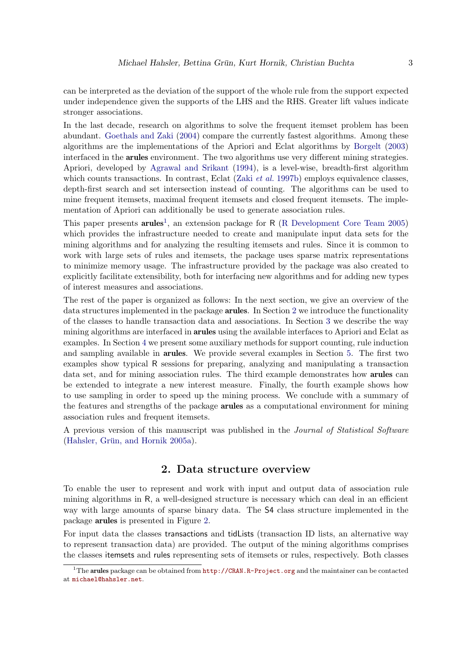can be interpreted as the deviation of the support of the whole rule from the support expected under independence given the supports of the LHS and the RHS. Greater lift values indicate stronger associations.

In the last decade, research on algorithms to solve the frequent itemset problem has been abundant. [Goethals and Zaki](#page-34-1) [\(2004\)](#page-34-1) compare the currently fastest algorithms. Among these algorithms are the implementations of the Apriori and Eclat algorithms by [Borgelt](#page-34-2) [\(2003\)](#page-34-2) interfaced in the arules environment. The two algorithms use very different mining strategies. Apriori, developed by [Agrawal and Srikant](#page-33-1) [\(1994\)](#page-33-1), is a level-wise, breadth-first algorithm which counts transactions. In contrast, Eclat (Zaki *[et al.](#page-36-0)* [1997b\)](#page-36-0) employs equivalence classes, depth-first search and set intersection instead of counting. The algorithms can be used to mine frequent itemsets, maximal frequent itemsets and closed frequent itemsets. The implementation of Apriori can additionally be used to generate association rules.

This paper presents  $arules^1$  $arules^1$ , an extension package for R [\(R Development Core Team 2005\)](#page-35-5) which provides the infrastructure needed to create and manipulate input data sets for the mining algorithms and for analyzing the resulting itemsets and rules. Since it is common to work with large sets of rules and itemsets, the package uses sparse matrix representations to minimize memory usage. The infrastructure provided by the package was also created to explicitly facilitate extensibility, both for interfacing new algorithms and for adding new types of interest measures and associations.

The rest of the paper is organized as follows: In the next section, we give an overview of the data structures implemented in the package arules. In Section [2](#page-2-1) we introduce the functionality of the classes to handle transaction data and associations. In Section [3](#page-9-0) we describe the way mining algorithms are interfaced in arules using the available interfaces to Apriori and Eclat as examples. In Section [4](#page-10-0) we present some auxiliary methods for support counting, rule induction and sampling available in arules. We provide several examples in Section [5.](#page-14-0) The first two examples show typical R sessions for preparing, analyzing and manipulating a transaction data set, and for mining association rules. The third example demonstrates how arules can be extended to integrate a new interest measure. Finally, the fourth example shows how to use sampling in order to speed up the mining process. We conclude with a summary of the features and strengths of the package arules as a computational environment for mining association rules and frequent itemsets.

A previous version of this manuscript was published in the *Journal of Statistical Software* (Hahsler, Grün, and Hornik 2005a).

### 2. Data structure overview

<span id="page-2-1"></span>To enable the user to represent and work with input and output data of association rule mining algorithms in R, a well-designed structure is necessary which can deal in an efficient way with large amounts of sparse binary data. The S4 class structure implemented in the package arules is presented in Figure [2.](#page-3-0)

For input data the classes transactions and tidLists (transaction ID lists, an alternative way to represent transaction data) are provided. The output of the mining algorithms comprises the classes itemsets and rules representing sets of itemsets or rules, respectively. Both classes

<span id="page-2-0"></span><sup>&</sup>lt;sup>1</sup>The arules package can be obtained from  $http://CRAN.R-Project.org$  and the maintainer can be contacted at <michael@hahsler.net>.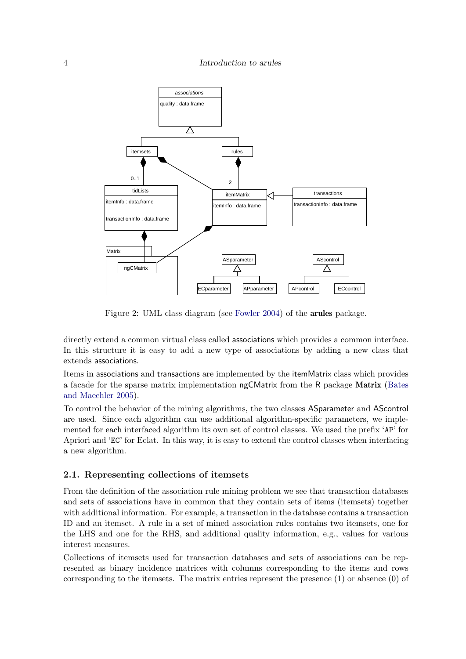

<span id="page-3-0"></span>Figure 2: UML class diagram (see [Fowler 2004\)](#page-34-4) of the arules package.

directly extend a common virtual class called associations which provides a common interface. In this structure it is easy to add a new type of associations by adding a new class that extends associations.

Items in associations and transactions are implemented by the itemMatrix class which provides a facade for the sparse matrix implementation ngCMatrix from the R package Matrix [\(Bates](#page-33-2) [and Maechler 2005\)](#page-33-2).

To control the behavior of the mining algorithms, the two classes ASparameter and AScontrol are used. Since each algorithm can use additional algorithm-specific parameters, we implemented for each interfaced algorithm its own set of control classes. We used the prefix 'AP' for Apriori and 'EC' for Eclat. In this way, it is easy to extend the control classes when interfacing a new algorithm.

### 2.1. Representing collections of itemsets

From the definition of the association rule mining problem we see that transaction databases and sets of associations have in common that they contain sets of items (itemsets) together with additional information. For example, a transaction in the database contains a transaction ID and an itemset. A rule in a set of mined association rules contains two itemsets, one for the LHS and one for the RHS, and additional quality information, e.g., values for various interest measures.

Collections of itemsets used for transaction databases and sets of associations can be represented as binary incidence matrices with columns corresponding to the items and rows corresponding to the itemsets. The matrix entries represent the presence (1) or absence (0) of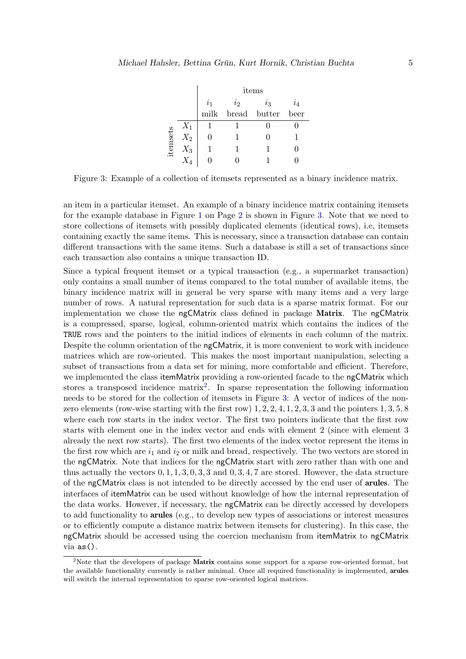|          |       | items            |                |         |       |  |
|----------|-------|------------------|----------------|---------|-------|--|
|          |       | $\overline{i_1}$ | $\overline{i}$ | $i_{3}$ | $i_4$ |  |
|          |       | milk             | bread butter   |         | beer  |  |
|          | $X_1$ |                  |                |         |       |  |
| itemsets | $X_2$ |                  |                |         |       |  |
|          | $X_3$ |                  |                |         |       |  |
|          |       |                  |                |         |       |  |

<span id="page-4-0"></span>Figure 3: Example of a collection of itemsets represented as a binary incidence matrix.

an item in a particular itemset. An example of a binary incidence matrix containing itemsets for the example database in Figure [1](#page-1-0) on Page [2](#page-1-0) is shown in Figure [3.](#page-4-0) Note that we need to store collections of itemsets with possibly duplicated elements (identical rows), i.e, itemsets containing exactly the same items. This is necessary, since a transaction database can contain different transactions with the same items. Such a database is still a set of transactions since each transaction also contains a unique transaction ID.

Since a typical frequent itemset or a typical transaction (e.g., a supermarket transaction) only contains a small number of items compared to the total number of available items, the binary incidence matrix will in general be very sparse with many items and a very large number of rows. A natural representation for such data is a sparse matrix format. For our implementation we chose the ngCMatrix class defined in package Matrix. The ngCMatrix is a compressed, sparse, logical, column-oriented matrix which contains the indices of the TRUE rows and the pointers to the initial indices of elements in each column of the matrix. Despite the column orientation of the ngCMatrix, it is more convenient to work with incidence matrices which are row-oriented. This makes the most important manipulation, selecting a subset of transactions from a data set for mining, more comfortable and efficient. Therefore, we implemented the class itemMatrix providing a row-oriented facade to the ngCMatrix which stores a transposed incidence matrix<sup>[2](#page-4-1)</sup>. In sparse representation the following information needs to be stored for the collection of itemsets in Figure [3:](#page-4-0) A vector of indices of the nonzero elements (row-wise starting with the first row)  $1, 2, 2, 4, 1, 2, 3, 3$  and the pointers  $1, 3, 5, 8$ where each row starts in the index vector. The first two pointers indicate that the first row starts with element one in the index vector and ends with element 2 (since with element 3 already the next row starts). The first two elements of the index vector represent the items in the first row which are  $i_1$  and  $i_2$  or milk and bread, respectively. The two vectors are stored in the ngCMatrix. Note that indices for the ngCMatrix start with zero rather than with one and thus actually the vectors  $0, 1, 1, 3, 0, 3, 3$  and  $0, 3, 4, 7$  are stored. However, the data structure of the ngCMatrix class is not intended to be directly accessed by the end user of arules. The interfaces of itemMatrix can be used without knowledge of how the internal representation of the data works. However, if necessary, the ngCMatrix can be directly accessed by developers to add functionality to arules (e.g., to develop new types of associations or interest measures or to efficiently compute a distance matrix between itemsets for clustering). In this case, the ngCMatrix should be accessed using the coercion mechanism from itemMatrix to ngCMatrix via as().

<span id="page-4-1"></span><sup>&</sup>lt;sup>2</sup>Note that the developers of package Matrix contains some support for a sparse row-oriented format, but the available functionality currently is rather minimal. Once all required functionality is implemented, arules will switch the internal representation to sparse row-oriented logical matrices.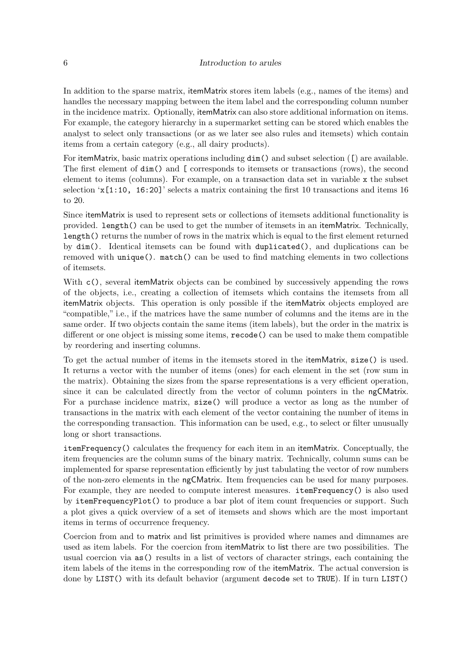In addition to the sparse matrix, itemMatrix stores item labels (e.g., names of the items) and handles the necessary mapping between the item label and the corresponding column number in the incidence matrix. Optionally, itemMatrix can also store additional information on items. For example, the category hierarchy in a supermarket setting can be stored which enables the analyst to select only transactions (or as we later see also rules and itemsets) which contain items from a certain category (e.g., all dairy products).

For itemMatrix, basic matrix operations including dim() and subset selection ([) are available. The first element of dim() and [ corresponds to itemsets or transactions (rows), the second element to items (columns). For example, on a transaction data set in variable x the subset selection  $x[1:10, 16:20]$  selects a matrix containing the first 10 transactions and items 16 to 20.

Since itemMatrix is used to represent sets or collections of itemsets additional functionality is provided. length() can be used to get the number of itemsets in an itemMatrix. Technically, length() returns the number of rows in the matrix which is equal to the first element returned by dim(). Identical itemsets can be found with duplicated(), and duplications can be removed with unique(). match() can be used to find matching elements in two collections of itemsets.

With c(), several itemMatrix objects can be combined by successively appending the rows of the objects, i.e., creating a collection of itemsets which contains the itemsets from all itemMatrix objects. This operation is only possible if the itemMatrix objects employed are "compatible," i.e., if the matrices have the same number of columns and the items are in the same order. If two objects contain the same items (item labels), but the order in the matrix is different or one object is missing some items, recode() can be used to make them compatible by reordering and inserting columns.

To get the actual number of items in the itemsets stored in the itemMatrix, size() is used. It returns a vector with the number of items (ones) for each element in the set (row sum in the matrix). Obtaining the sizes from the sparse representations is a very efficient operation, since it can be calculated directly from the vector of column pointers in the ngCMatrix. For a purchase incidence matrix, size() will produce a vector as long as the number of transactions in the matrix with each element of the vector containing the number of items in the corresponding transaction. This information can be used, e.g., to select or filter unusually long or short transactions.

itemFrequency() calculates the frequency for each item in an itemMatrix. Conceptually, the item frequencies are the column sums of the binary matrix. Technically, column sums can be implemented for sparse representation efficiently by just tabulating the vector of row numbers of the non-zero elements in the ngCMatrix. Item frequencies can be used for many purposes. For example, they are needed to compute interest measures. itemFrequency() is also used by itemFrequencyPlot() to produce a bar plot of item count frequencies or support. Such a plot gives a quick overview of a set of itemsets and shows which are the most important items in terms of occurrence frequency.

Coercion from and to matrix and list primitives is provided where names and dimnames are used as item labels. For the coercion from itemMatrix to list there are two possibilities. The usual coercion via as() results in a list of vectors of character strings, each containing the item labels of the items in the corresponding row of the itemMatrix. The actual conversion is done by LIST() with its default behavior (argument decode set to TRUE). If in turn LIST()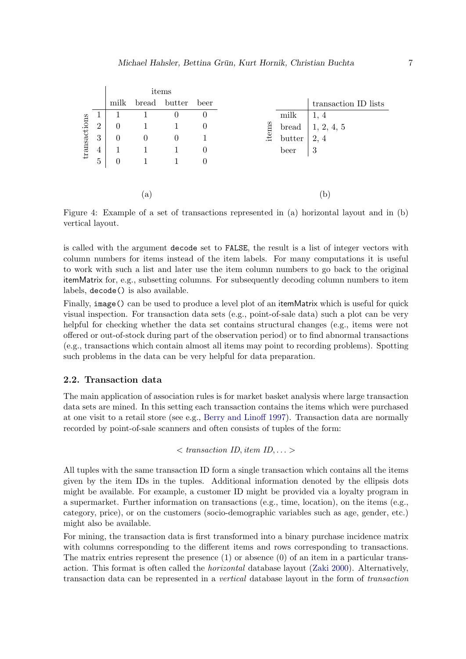|              |                |          |                | items        |          |
|--------------|----------------|----------|----------------|--------------|----------|
|              |                | milk     |                | bread butter | beer     |
|              | $\perp$        |          |                | $\theta$     | $\theta$ |
| transactions | $\overline{2}$ | $\Omega$ |                |              | $\theta$ |
|              | 3              | $\theta$ | $\overline{0}$ | $\theta$     |          |
|              | $\overline{4}$ |          |                |              | $\theta$ |
|              | $\overline{5}$ | $\theta$ |                |              | $\theta$ |
|              |                |          |                |              |          |
|              |                |          |                |              |          |
|              |                |          | $\alpha$       |              |          |

<span id="page-6-0"></span>Figure 4: Example of a set of transactions represented in (a) horizontal layout and in (b) vertical layout.

is called with the argument decode set to FALSE, the result is a list of integer vectors with column numbers for items instead of the item labels. For many computations it is useful to work with such a list and later use the item column numbers to go back to the original itemMatrix for, e.g., subsetting columns. For subsequently decoding column numbers to item labels, decode() is also available.

Finally, image() can be used to produce a level plot of an itemMatrix which is useful for quick visual inspection. For transaction data sets (e.g., point-of-sale data) such a plot can be very helpful for checking whether the data set contains structural changes (e.g., items were not offered or out-of-stock during part of the observation period) or to find abnormal transactions (e.g., transactions which contain almost all items may point to recording problems). Spotting such problems in the data can be very helpful for data preparation.

### 2.2. Transaction data

The main application of association rules is for market basket analysis where large transaction data sets are mined. In this setting each transaction contains the items which were purchased at one visit to a retail store (see e.g., [Berry and Linoff 1997\)](#page-34-5). Transaction data are normally recorded by point-of-sale scanners and often consists of tuples of the form:

```
\langle transaction ID, item ID, ... >
```
All tuples with the same transaction ID form a single transaction which contains all the items given by the item IDs in the tuples. Additional information denoted by the ellipsis dots might be available. For example, a customer ID might be provided via a loyalty program in a supermarket. Further information on transactions (e.g., time, location), on the items (e.g., category, price), or on the customers (socio-demographic variables such as age, gender, etc.) might also be available.

For mining, the transaction data is first transformed into a binary purchase incidence matrix with columns corresponding to the different items and rows corresponding to transactions. The matrix entries represent the presence  $(1)$  or absence  $(0)$  of an item in a particular transaction. This format is often called the *horizontal* database layout [\(Zaki 2000\)](#page-36-2). Alternatively, transaction data can be represented in a *vertical* database layout in the form of *transaction*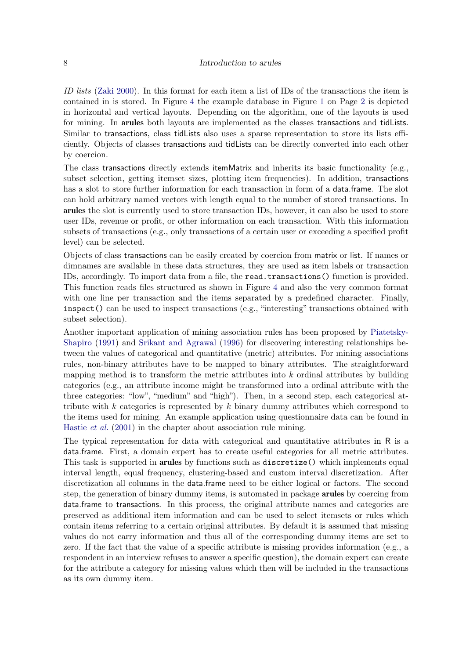*ID lists* [\(Zaki 2000\)](#page-36-2). In this format for each item a list of IDs of the transactions the item is contained in is stored. In Figure [4](#page-6-0) the example database in Figure [1](#page-1-0) on Page [2](#page-1-0) is depicted in horizontal and vertical layouts. Depending on the algorithm, one of the layouts is used for mining. In arules both layouts are implemented as the classes transactions and tidLists. Similar to transactions, class tidLists also uses a sparse representation to store its lists efficiently. Objects of classes transactions and tidLists can be directly converted into each other by coercion.

The class transactions directly extends itemMatrix and inherits its basic functionality (e.g., subset selection, getting itemset sizes, plotting item frequencies). In addition, transactions has a slot to store further information for each transaction in form of a data.frame. The slot can hold arbitrary named vectors with length equal to the number of stored transactions. In arules the slot is currently used to store transaction IDs, however, it can also be used to store user IDs, revenue or profit, or other information on each transaction. With this information subsets of transactions (e.g., only transactions of a certain user or exceeding a specified profit level) can be selected.

Objects of class transactions can be easily created by coercion from matrix or list. If names or dimnames are available in these data structures, they are used as item labels or transaction IDs, accordingly. To import data from a file, the read.transactions() function is provided. This function reads files structured as shown in Figure [4](#page-6-0) and also the very common format with one line per transaction and the items separated by a predefined character. Finally, inspect() can be used to inspect transactions (e.g., "interesting" transactions obtained with subset selection).

Another important application of mining association rules has been proposed by [Piatetsky-](#page-35-0)[Shapiro](#page-35-0) [\(1991\)](#page-35-0) and [Srikant and Agrawal](#page-35-6) [\(1996\)](#page-35-6) for discovering interesting relationships between the values of categorical and quantitative (metric) attributes. For mining associations rules, non-binary attributes have to be mapped to binary attributes. The straightforward mapping method is to transform the metric attributes into  $k$  ordinal attributes by building categories (e.g., an attribute income might be transformed into a ordinal attribute with the three categories: "low", "medium" and "high"). Then, in a second step, each categorical attribute with  $k$  categories is represented by  $k$  binary dummy attributes which correspond to the items used for mining. An example application using questionnaire data can be found in [Hastie](#page-35-1) *et al.* [\(2001\)](#page-35-1) in the chapter about association rule mining.

The typical representation for data with categorical and quantitative attributes in R is a data.frame. First, a domain expert has to create useful categories for all metric attributes. This task is supported in arules by functions such as discretize() which implements equal interval length, equal frequency, clustering-based and custom interval discretization. After discretization all columns in the data.frame need to be either logical or factors. The second step, the generation of binary dummy items, is automated in package arules by coercing from data.frame to transactions. In this process, the original attribute names and categories are preserved as additional item information and can be used to select itemsets or rules which contain items referring to a certain original attributes. By default it is assumed that missing values do not carry information and thus all of the corresponding dummy items are set to zero. If the fact that the value of a specific attribute is missing provides information (e.g., a respondent in an interview refuses to answer a specific question), the domain expert can create for the attribute a category for missing values which then will be included in the transactions as its own dummy item.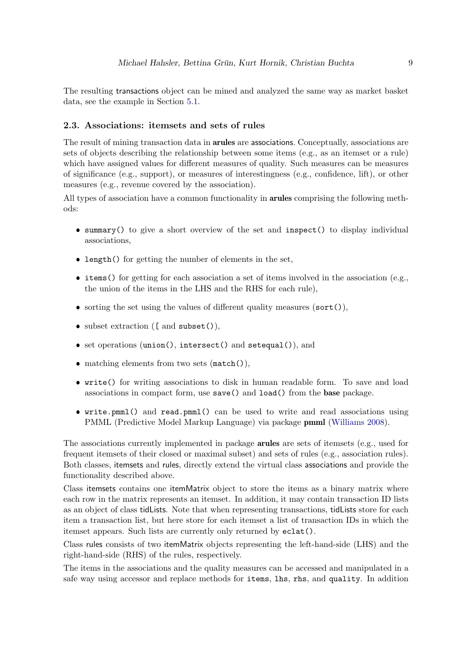The resulting transactions object can be mined and analyzed the same way as market basket data, see the example in Section [5.1.](#page-14-1)

# 2.3. Associations: itemsets and sets of rules

The result of mining transaction data in arules are associations. Conceptually, associations are sets of objects describing the relationship between some items (e.g., as an itemset or a rule) which have assigned values for different measures of quality. Such measures can be measures of significance (e.g., support), or measures of interestingness (e.g., confidence, lift), or other measures (e.g., revenue covered by the association).

All types of association have a common functionality in arules comprising the following methods:

- ❼ summary() to give a short overview of the set and inspect() to display individual associations,
- ❼ length() for getting the number of elements in the set,
- items() for getting for each association a set of items involved in the association (e.g., the union of the items in the LHS and the RHS for each rule),
- sorting the set using the values of different quality measures (sort()),
- subset extraction ([ and subset()),
- set operations (union(), intersect() and setequal()), and
- matching elements from two sets (match()),
- ❼ write() for writing associations to disk in human readable form. To save and load associations in compact form, use save() and load() from the base package.
- ❼ write.pmml() and read.pmml() can be used to write and read associations using PMML (Predictive Model Markup Language) via package pmml [\(Williams 2008\)](#page-36-3).

The associations currently implemented in package **arules** are sets of itemsets (e.g., used for frequent itemsets of their closed or maximal subset) and sets of rules (e.g., association rules). Both classes, itemsets and rules, directly extend the virtual class associations and provide the functionality described above.

Class itemsets contains one itemMatrix object to store the items as a binary matrix where each row in the matrix represents an itemset. In addition, it may contain transaction ID lists as an object of class tidLists. Note that when representing transactions, tidLists store for each item a transaction list, but here store for each itemset a list of transaction IDs in which the itemset appears. Such lists are currently only returned by eclat().

Class rules consists of two itemMatrix objects representing the left-hand-side (LHS) and the right-hand-side (RHS) of the rules, respectively.

The items in the associations and the quality measures can be accessed and manipulated in a safe way using accessor and replace methods for items, lhs, rhs, and quality. In addition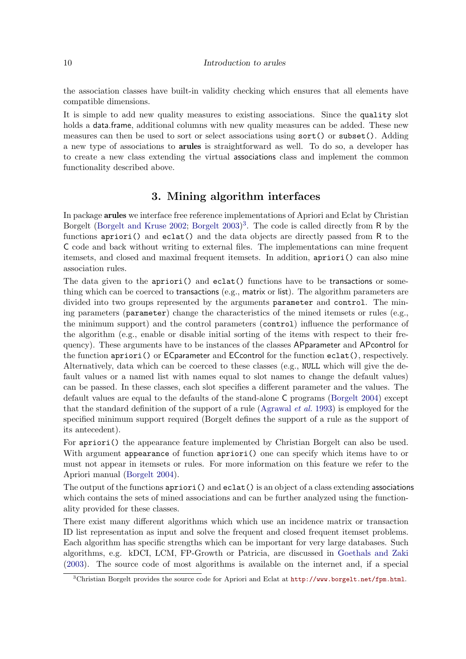#### 10 Introduction to arules

the association classes have built-in validity checking which ensures that all elements have compatible dimensions.

It is simple to add new quality measures to existing associations. Since the quality slot holds a data.frame, additional columns with new quality measures can be added. These new measures can then be used to sort or select associations using sort() or subset(). Adding a new type of associations to arules is straightforward as well. To do so, a developer has to create a new class extending the virtual associations class and implement the common functionality described above.

# 3. Mining algorithm interfaces

<span id="page-9-0"></span>In package arules we interface free reference implementations of Apriori and Eclat by Christian Borgelt [\(Borgelt and Kruse 2002;](#page-34-6) [Borgelt 2003\)](#page-34-2) [3](#page-9-1) . The code is called directly from R by the functions  $\text{apriori}()$  and  $\text{eclat}()$  and the data objects are directly passed from R to the C code and back without writing to external files. The implementations can mine frequent itemsets, and closed and maximal frequent itemsets. In addition, apriori() can also mine association rules.

The data given to the apriori() and eclat() functions have to be transactions or something which can be coerced to transactions (e.g., matrix or list). The algorithm parameters are divided into two groups represented by the arguments parameter and control. The mining parameters (parameter) change the characteristics of the mined itemsets or rules (e.g., the minimum support) and the control parameters (control) influence the performance of the algorithm (e.g., enable or disable initial sorting of the items with respect to their frequency). These arguments have to be instances of the classes APparameter and APcontrol for the function apriori() or ECparameter and ECcontrol for the function eclat(), respectively. Alternatively, data which can be coerced to these classes (e.g., NULL which will give the default values or a named list with names equal to slot names to change the default values) can be passed. In these classes, each slot specifies a different parameter and the values. The default values are equal to the defaults of the stand-alone C programs [\(Borgelt 2004\)](#page-34-7) except that the standard definition of the support of a rule [\(Agrawal](#page-33-0) *et al.* [1993\)](#page-33-0) is employed for the specified minimum support required (Borgelt defines the support of a rule as the support of its antecedent).

For apriori() the appearance feature implemented by Christian Borgelt can also be used. With argument appearance of function apriori() one can specify which items have to or must not appear in itemsets or rules. For more information on this feature we refer to the Apriori manual [\(Borgelt 2004\)](#page-34-7).

The output of the functions  $\arcsin(i)$  and  $\arctan(i)$  is an object of a class extending associations which contains the sets of mined associations and can be further analyzed using the functionality provided for these classes.

There exist many different algorithms which which use an incidence matrix or transaction ID list representation as input and solve the frequent and closed frequent itemset problems. Each algorithm has specific strengths which can be important for very large databases. Such algorithms, e.g. kDCI, LCM, FP-Growth or Patricia, are discussed in [Goethals and Zaki](#page-34-8) [\(2003\)](#page-34-8). The source code of most algorithms is available on the internet and, if a special

<span id="page-9-1"></span><sup>3</sup>Christian Borgelt provides the source code for Apriori and Eclat at <http://www.borgelt.net/fpm.html>.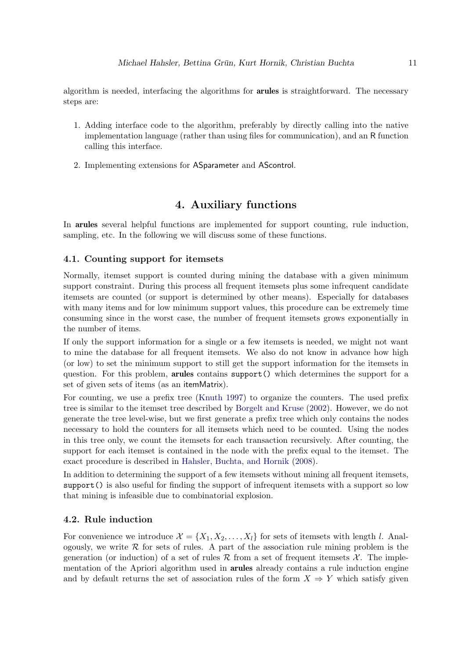algorithm is needed, interfacing the algorithms for **arules** is straightforward. The necessary steps are:

- 1. Adding interface code to the algorithm, preferably by directly calling into the native implementation language (rather than using files for communication), and an R function calling this interface.
- 2. Implementing extensions for ASparameter and AScontrol.

# 4. Auxiliary functions

<span id="page-10-0"></span>In arules several helpful functions are implemented for support counting, rule induction, sampling, etc. In the following we will discuss some of these functions.

#### <span id="page-10-1"></span>4.1. Counting support for itemsets

Normally, itemset support is counted during mining the database with a given minimum support constraint. During this process all frequent itemsets plus some infrequent candidate itemsets are counted (or support is determined by other means). Especially for databases with many items and for low minimum support values, this procedure can be extremely time consuming since in the worst case, the number of frequent itemsets grows exponentially in the number of items.

If only the support information for a single or a few itemsets is needed, we might not want to mine the database for all frequent itemsets. We also do not know in advance how high (or low) to set the minimum support to still get the support information for the itemsets in question. For this problem, arules contains support() which determines the support for a set of given sets of items (as an itemMatrix).

For counting, we use a prefix tree [\(Knuth 1997\)](#page-35-7) to organize the counters. The used prefix tree is similar to the itemset tree described by [Borgelt and Kruse](#page-34-6) [\(2002\)](#page-34-6). However, we do not generate the tree level-wise, but we first generate a prefix tree which only contains the nodes necessary to hold the counters for all itemsets which need to be counted. Using the nodes in this tree only, we count the itemsets for each transaction recursively. After counting, the support for each itemset is contained in the node with the prefix equal to the itemset. The exact procedure is described in [Hahsler, Buchta, and Hornik](#page-34-9) [\(2008\)](#page-34-9).

In addition to determining the support of a few itemsets without mining all frequent itemsets, support() is also useful for finding the support of infrequent itemsets with a support so low that mining is infeasible due to combinatorial explosion.

#### 4.2. Rule induction

For convenience we introduce  $\mathcal{X} = \{X_1, X_2, \ldots, X_l\}$  for sets of itemsets with length l. Analogously, we write  $R$  for sets of rules. A part of the association rule mining problem is the generation (or induction) of a set of rules R from a set of frequent itemsets  $\mathcal{X}$ . The implementation of the Apriori algorithm used in arules already contains a rule induction engine and by default returns the set of association rules of the form  $X \Rightarrow Y$  which satisfy given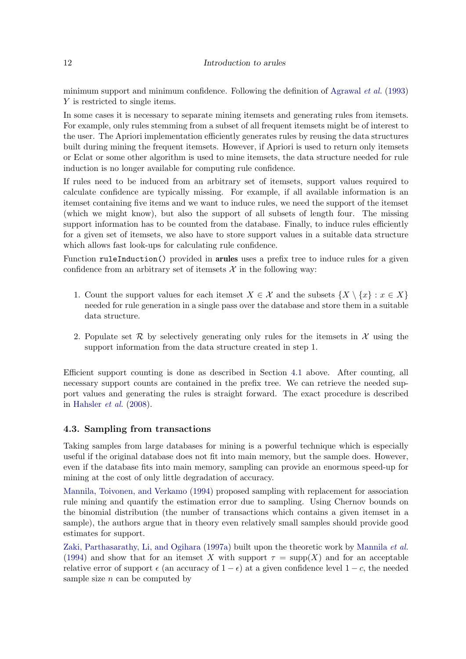#### 12 Introduction to arules

minimum support and minimum confidence. Following the definition of [Agrawal](#page-33-0) *et al.* [\(1993\)](#page-33-0) Y is restricted to single items.

In some cases it is necessary to separate mining itemsets and generating rules from itemsets. For example, only rules stemming from a subset of all frequent itemsets might be of interest to the user. The Apriori implementation efficiently generates rules by reusing the data structures built during mining the frequent itemsets. However, if Apriori is used to return only itemsets or Eclat or some other algorithm is used to mine itemsets, the data structure needed for rule induction is no longer available for computing rule confidence.

If rules need to be induced from an arbitrary set of itemsets, support values required to calculate confidence are typically missing. For example, if all available information is an itemset containing five items and we want to induce rules, we need the support of the itemset (which we might know), but also the support of all subsets of length four. The missing support information has to be counted from the database. Finally, to induce rules efficiently for a given set of itemsets, we also have to store support values in a suitable data structure which allows fast look-ups for calculating rule confidence.

Function ruleInduction() provided in arules uses a prefix tree to induce rules for a given confidence from an arbitrary set of itemsets  $\mathcal X$  in the following way:

- 1. Count the support values for each itemset  $X \in \mathcal{X}$  and the subsets  $\{X \setminus \{x\} : x \in X\}$ needed for rule generation in a single pass over the database and store them in a suitable data structure.
- 2. Populate set  $\mathcal R$  by selectively generating only rules for the itemsets in  $\mathcal X$  using the support information from the data structure created in step 1.

Efficient support counting is done as described in Section [4.1](#page-10-1) above. After counting, all necessary support counts are contained in the prefix tree. We can retrieve the needed support values and generating the rules is straight forward. The exact procedure is described in [Hahsler](#page-34-9) *et al.* [\(2008\)](#page-34-9).

#### <span id="page-11-0"></span>4.3. Sampling from transactions

Taking samples from large databases for mining is a powerful technique which is especially useful if the original database does not fit into main memory, but the sample does. However, even if the database fits into main memory, sampling can provide an enormous speed-up for mining at the cost of only little degradation of accuracy.

[Mannila, Toivonen, and Verkamo](#page-35-8) [\(1994\)](#page-35-8) proposed sampling with replacement for association rule mining and quantify the estimation error due to sampling. Using Chernov bounds on the binomial distribution (the number of transactions which contains a given itemset in a sample), the authors argue that in theory even relatively small samples should provide good estimates for support.

[Zaki, Parthasarathy, Li, and Ogihara](#page-36-4) [\(1997a\)](#page-36-4) built upon the theoretic work by [Mannila](#page-35-8) *et al.* [\(1994\)](#page-35-8) and show that for an itemset X with support  $\tau = \text{supp}(X)$  and for an acceptable relative error of support  $\epsilon$  (an accuracy of  $1 - \epsilon$ ) at a given confidence level  $1 - c$ , the needed sample size  $n$  can be computed by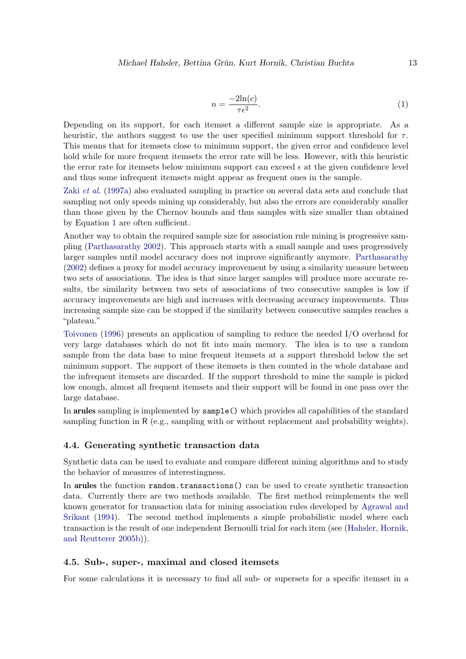<span id="page-12-0"></span>
$$
n = \frac{-2\ln(c)}{\tau \epsilon^2}.
$$
\n<sup>(1)</sup>

Depending on its support, for each itemset a different sample size is appropriate. As a heuristic, the authors suggest to use the user specified minimum support threshold for  $\tau$ . This means that for itemsets close to minimum support, the given error and confidence level hold while for more frequent itemsets the error rate will be less. However, with this heuristic the error rate for itemsets below minimum support can exceed  $\epsilon$  at the given confidence level and thus some infrequent itemsets might appear as frequent ones in the sample.

Zaki *[et al.](#page-36-4)* [\(1997a\)](#page-36-4) also evaluated sampling in practice on several data sets and conclude that sampling not only speeds mining up considerably, but also the errors are considerably smaller than those given by the Chernov bounds and thus samples with size smaller than obtained by Equation [1](#page-12-0) are often sufficient.

Another way to obtain the required sample size for association rule mining is progressive sampling [\(Parthasarathy 2002\)](#page-35-9). This approach starts with a small sample and uses progressively larger samples until model accuracy does not improve significantly anymore. [Parthasarathy](#page-35-9) [\(2002\)](#page-35-9) defines a proxy for model accuracy improvement by using a similarity measure between two sets of associations. The idea is that since larger samples will produce more accurate results, the similarity between two sets of associations of two consecutive samples is low if accuracy improvements are high and increases with decreasing accuracy improvements. Thus increasing sample size can be stopped if the similarity between consecutive samples reaches a "plateau."

[Toivonen](#page-36-5) [\(1996\)](#page-36-5) presents an application of sampling to reduce the needed I/O overhead for very large databases which do not fit into main memory. The idea is to use a random sample from the data base to mine frequent itemsets at a support threshold below the set minimum support. The support of these itemsets is then counted in the whole database and the infrequent itemsets are discarded. If the support threshold to mine the sample is picked low enough, almost all frequent itemsets and their support will be found in one pass over the large database.

In arules sampling is implemented by sample() which provides all capabilities of the standard sampling function in R (e.g., sampling with or without replacement and probability weights).

#### 4.4. Generating synthetic transaction data

Synthetic data can be used to evaluate and compare different mining algorithms and to study the behavior of measures of interestingness.

In arules the function random.transactions() can be used to create synthetic transaction data. Currently there are two methods available. The first method reimplements the well known generator for transaction data for mining association rules developed by [Agrawal and](#page-33-1) [Srikant](#page-33-1) [\(1994\)](#page-33-1). The second method implements a simple probabilistic model where each transaction is the result of one independent Bernoulli trial for each item (see [\(Hahsler, Hornik,](#page-35-10) [and Reutterer 2005b\)](#page-35-10)).

#### 4.5. Sub-, super-, maximal and closed itemsets

For some calculations it is necessary to find all sub- or supersets for a specific itemset in a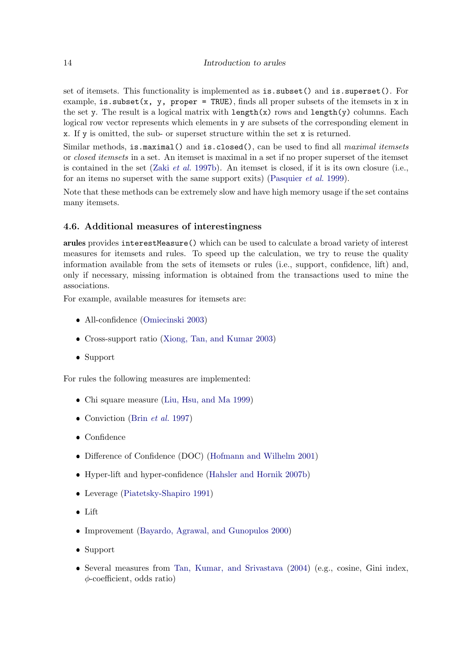set of itemsets. This functionality is implemented as is.subset() and is.superset(). For example, is. subset(x, y, proper = TRUE), finds all proper subsets of the itemsets in x in the set y. The result is a logical matrix with  $\text{length}(x)$  rows and  $\text{length}(y)$  columns. Each logical row vector represents which elements in y are subsets of the corresponding element in x. If y is omitted, the sub- or superset structure within the set x is returned.

Similar methods, is.maximal() and is.closed(), can be used to find all *maximal itemsets* or *closed itemsets* in a set. An itemset is maximal in a set if no proper superset of the itemset is contained in the set (Zaki *[et al.](#page-36-0)* [1997b\)](#page-36-0). An itemset is closed, if it is its own closure (i.e., for an items no superset with the same support exits) [\(Pasquier](#page-35-3) *et al.* [1999\)](#page-35-3).

Note that these methods can be extremely slow and have high memory usage if the set contains many itemsets.

### 4.6. Additional measures of interestingness

arules provides interestMeasure() which can be used to calculate a broad variety of interest measures for itemsets and rules. To speed up the calculation, we try to reuse the quality information available from the sets of itemsets or rules (i.e., support, confidence, lift) and, only if necessary, missing information is obtained from the transactions used to mine the associations.

For example, available measures for itemsets are:

- ❼ All-confidence [\(Omiecinski 2003\)](#page-35-4)
- ❼ Cross-support ratio [\(Xiong, Tan, and Kumar 2003\)](#page-36-6)
- Support

For rules the following measures are implemented:

- ❼ Chi square measure [\(Liu, Hsu, and Ma 1999\)](#page-35-11)
- ❼ Conviction (Brin *[et al.](#page-34-0)* [1997\)](#page-34-0)
- Confidence
- ❼ Difference of Confidence (DOC) [\(Hofmann and Wilhelm 2001\)](#page-35-12)
- ❼ Hyper-lift and hyper-confidence [\(Hahsler and Hornik 2007b\)](#page-34-10)
- ❼ Leverage [\(Piatetsky-Shapiro 1991\)](#page-35-0)
- Lift
- ❼ Improvement [\(Bayardo, Agrawal, and Gunopulos 2000\)](#page-33-3)
- Support
- ❼ Several measures from [Tan, Kumar, and Srivastava](#page-36-7) [\(2004\)](#page-36-7) (e.g., cosine, Gini index, φ-coefficient, odds ratio)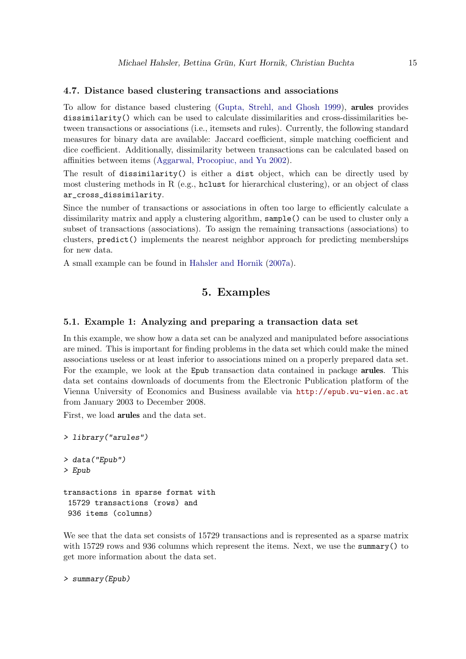#### 4.7. Distance based clustering transactions and associations

To allow for distance based clustering [\(Gupta, Strehl, and Ghosh 1999\)](#page-34-11), arules provides dissimilarity() which can be used to calculate dissimilarities and cross-dissimilarities between transactions or associations (i.e., itemsets and rules). Currently, the following standard measures for binary data are available: Jaccard coefficient, simple matching coefficient and dice coefficient. Additionally, dissimilarity between transactions can be calculated based on affinities between items [\(Aggarwal, Procopiuc, and Yu 2002\)](#page-33-4).

The result of dissimilarity() is either a dist object, which can be directly used by most clustering methods in R (e.g., holy to hierarchical clustering), or an object of class ar\_cross\_dissimilarity.

Since the number of transactions or associations in often too large to efficiently calculate a dissimilarity matrix and apply a clustering algorithm, sample() can be used to cluster only a subset of transactions (associations). To assign the remaining transactions (associations) to clusters, predict() implements the nearest neighbor approach for predicting memberships for new data.

<span id="page-14-0"></span>A small example can be found in [Hahsler and Hornik](#page-34-12) [\(2007a\)](#page-34-12).

# 5. Examples

#### <span id="page-14-1"></span>5.1. Example 1: Analyzing and preparing a transaction data set

In this example, we show how a data set can be analyzed and manipulated before associations are mined. This is important for finding problems in the data set which could make the mined associations useless or at least inferior to associations mined on a properly prepared data set. For the example, we look at the Epub transaction data contained in package arules. This data set contains downloads of documents from the Electronic Publication platform of the Vienna University of Economics and Business available via <http://epub.wu-wien.ac.at> from January 2003 to December 2008.

First, we load arules and the data set.

```
> library("arules")
> data("Epub")
> Epub
transactions in sparse format with
 15729 transactions (rows) and
936 items (columns)
```
We see that the data set consists of 15729 transactions and is represented as a sparse matrix with 15729 rows and 936 columns which represent the items. Next, we use the summary () to get more information about the data set.

```
> summary(Epub)
```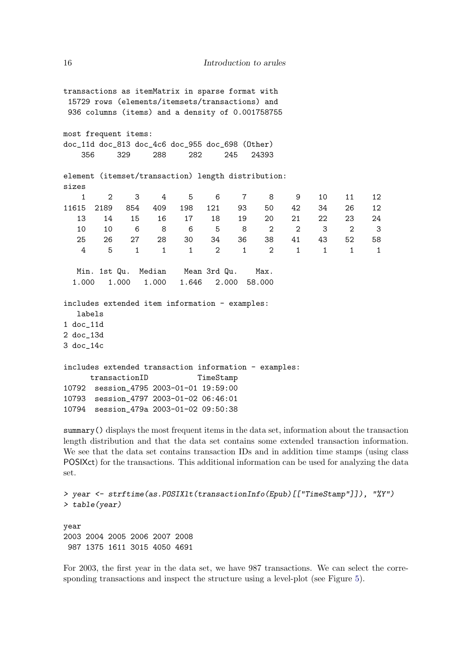transactions as itemMatrix in sparse format with 15729 rows (elements/itemsets/transactions) and 936 columns (items) and a density of 0.001758755 most frequent items: doc\_11d doc\_813 doc\_4c6 doc\_955 doc\_698 (Other) 356 329 288 282 245 24393 element (itemset/transaction) length distribution: sizes 1 2 3 4 5 6 7 8 9 10 11 12 11615 2189 854 409 198 121 93 50 42 34 26 12 13 14 15 16 17 18 19 20 21 22 23 24 10 10 6 8 6 5 8 2 2 3 2 3 25 26 27 28 30 34 36 38 41 43 52 58 4 5 1 1 1 2 1 2 1 1 1 1 Min. 1st Qu. Median Mean 3rd Qu. Max. 1.000 1.000 1.000 1.646 2.000 58.000 includes extended item information - examples: labels 1 doc\_11d 2 doc\_13d 3 doc\_14c includes extended transaction information - examples: transactionID TimeStamp 10792 session\_4795 2003-01-01 19:59:00 10793 session\_4797 2003-01-02 06:46:01 10794 session\_479a 2003-01-02 09:50:38

summary() displays the most frequent items in the data set, information about the transaction length distribution and that the data set contains some extended transaction information. We see that the data set contains transaction IDs and in addition time stamps (using class POSIXct) for the transactions. This additional information can be used for analyzing the data set.

```
> year <- strftime(as.POSIXlt(transactionInfo(Epub)[["TimeStamp"]]), "%Y")
> table(year)
year
2003 2004 2005 2006 2007 2008
987 1375 1611 3015 4050 4691
```
For 2003, the first year in the data set, we have 987 transactions. We can select the corresponding transactions and inspect the structure using a level-plot (see Figure [5\)](#page-16-0).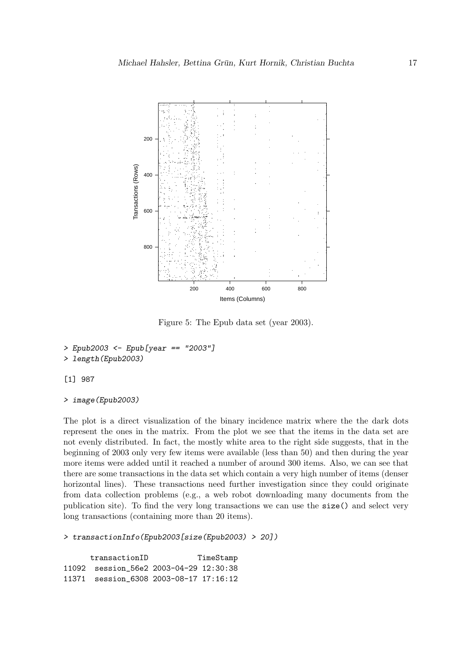

<span id="page-16-0"></span>Figure 5: The Epub data set (year 2003).

```
> Epub2003 <- Epub[year == "2003"]
```

```
> length(Epub2003)
```
[1] 987

```
> image(Epub2003)
```
The plot is a direct visualization of the binary incidence matrix where the the dark dots represent the ones in the matrix. From the plot we see that the items in the data set are not evenly distributed. In fact, the mostly white area to the right side suggests, that in the beginning of 2003 only very few items were available (less than 50) and then during the year more items were added until it reached a number of around 300 items. Also, we can see that there are some transactions in the data set which contain a very high number of items (denser horizontal lines). These transactions need further investigation since they could originate from data collection problems (e.g., a web robot downloading many documents from the publication site). To find the very long transactions we can use the size() and select very long transactions (containing more than 20 items).

```
> transactionInfo(Epub2003[size(Epub2003) > 20])
```
transactionID TimeStamp 11092 session\_56e2 2003-04-29 12:30:38 11371 session\_6308 2003-08-17 17:16:12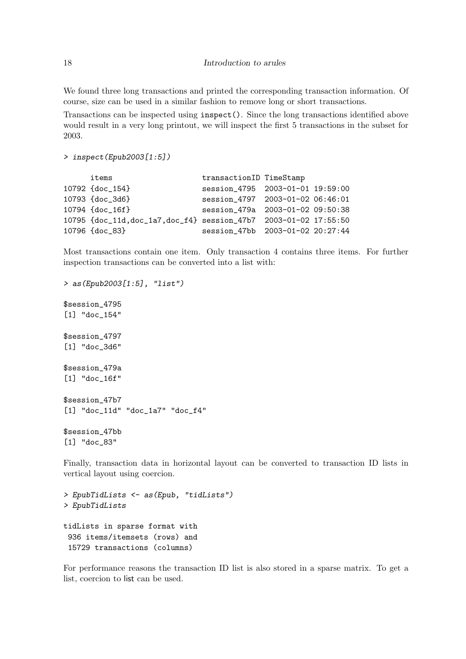We found three long transactions and printed the corresponding transaction information. Of course, size can be used in a similar fashion to remove long or short transactions.

Transactions can be inspected using inspect(). Since the long transactions identified above would result in a very long printout, we will inspect the first 5 transactions in the subset for 2003.

```
> inspect(Epub2003[1:5])
```

| items                                                           | transactionID TimeStamp          |  |
|-----------------------------------------------------------------|----------------------------------|--|
| 10792 {doc_154}                                                 | session_4795 2003-01-01 19:59:00 |  |
| 10793 {doc_3d6}                                                 | session 4797 2003-01-02 06:46:01 |  |
| 10794 {doc_16f}                                                 | session 479a 2003-01-02 09:50:38 |  |
| 10795 {doc_11d,doc_1a7,doc_f4} session_47b7 2003-01-02 17:55:50 |                                  |  |
| 10796 {doc_83}                                                  | session 47bb 2003-01-02 20:27:44 |  |

Most transactions contain one item. Only transaction 4 contains three items. For further inspection transactions can be converted into a list with:

*> as(Epub2003[1:5], "list")* \$session\_4795 [1] "doc\_154" \$session\_4797 [1] "doc\_3d6" \$session\_479a [1] "doc\_16f" \$session\_47b7 [1] "doc\_11d" "doc\_1a7" "doc\_f4" \$session\_47bb [1] "doc\_83"

Finally, transaction data in horizontal layout can be converted to transaction ID lists in vertical layout using coercion.

*> EpubTidLists <- as(Epub, "tidLists") > EpubTidLists* tidLists in sparse format with 936 items/itemsets (rows) and 15729 transactions (columns)

For performance reasons the transaction ID list is also stored in a sparse matrix. To get a list, coercion to list can be used.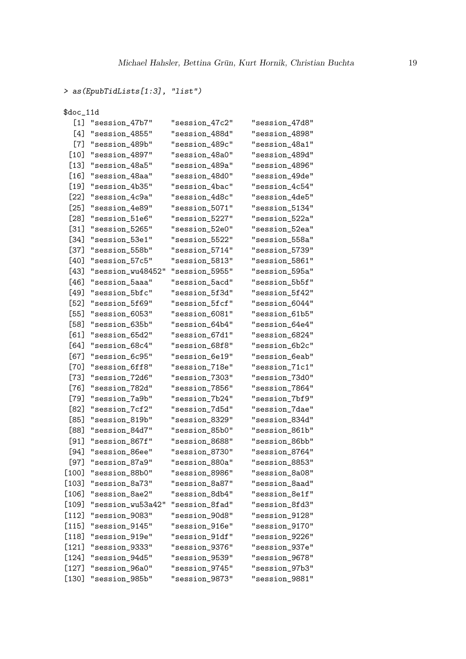```
> as(EpubTidLists[1:3], "list")
```

| \$doc_11d |                   |                |                |  |  |
|-----------|-------------------|----------------|----------------|--|--|
| [1]       | "session_47b7"    | "session_47c2" | "session 47d8" |  |  |
| [4]       | "session_4855"    | "session_488d" | "session_4898" |  |  |
| $[7]$     | "session_489b"    | "session_489c" | "session_48a1" |  |  |
| [10]      | "session_4897"    | "session_48a0" | "session_489d" |  |  |
| $[13]$    | "session_48a5"    | "session_489a" | "session_4896" |  |  |
| $[16]$    | "session_48aa"    | "session_48d0" | "session_49de" |  |  |
| [19]      | "session_4b35"    | "session_4bac" | "session_4c54" |  |  |
| [22]      | "session_4c9a"    | "session_4d8c" | "session_4de5" |  |  |
| $[25]$    | "session_4e89"    | "session_5071" | "session_5134" |  |  |
| [28]      | "session_51e6"    | "session_5227" | "session_522a" |  |  |
| $[31]$    | "session_5265"    | "session_52e0" | "session_52ea" |  |  |
| [34]      | "session_53e1"    | "session_5522" | "session_558a" |  |  |
| [37]      | "session_558b"    | "session_5714" | "session_5739" |  |  |
| [40]      | "session_57c5"    | "session_5813" | "session_5861" |  |  |
| [43]      | "session_wu48452" | "session_5955" | "session_595a" |  |  |
| [46]      | "session_5aaa"    | "session_5acd" | "session_5b5f" |  |  |
| [49]      | "session_5bfc"    | "session_5f3d" | "session_5f42" |  |  |
| [52]      | "session_5f69"    | "session_5fcf" | "session_6044" |  |  |
| [55]      | "session_6053"    | "session_6081" | "session_61b5" |  |  |
| [58]      | "session_635b"    | "session_64b4" | "session_64e4" |  |  |
| [61]      | "session_65d2"    | "session_67d1" | "session_6824" |  |  |
| [64]      | "session_68c4"    | "session_68f8" | "session_6b2c" |  |  |
| [67]      | "session_6c95"    | "session_6e19" | "session_6eab" |  |  |
| [70]      | "session_6ff8"    | "session_718e" | "session_71c1" |  |  |
| [73]      | "session_72d6"    | "session_7303" | "session_73d0" |  |  |
| [76]      | "session_782d"    | "session_7856" | "session_7864" |  |  |
| [79]      | "session_7a9b"    | "session_7b24" | "session_7bf9" |  |  |
| [82]      | "session_7cf2"    | "session_7d5d" | "session_7dae" |  |  |
| [85]      | "session_819b"    | "session_8329" | "session_834d" |  |  |
| [88]      | "session_84d7"    | "session_85b0" | "session_861b" |  |  |
| [91]      | "session_867f"    | "session_8688" | "session_86bb" |  |  |
| [94]      | "session_86ee"    | "session_8730" | "session_8764" |  |  |
| $[97]$    | "session_87a9"    | "session_880a" | "session_8853" |  |  |
| [100]     | "session_88b0"    | "session_8986" | "session_8a08" |  |  |
| [103]     | "session_8a73"    | "session_8a87" | "session_8aad" |  |  |
| $[106]$   | "session_8ae2"    | "session_8db4" | "session_8e1f" |  |  |
| [109]     | "session_wu53a42" | "session_8fad" | "session_8fd3" |  |  |
| $[112]$   | "session_9083"    | "session_90d8" | "session_9128" |  |  |
| $[115]$   | "session_9145"    | "session_916e" | "session_9170" |  |  |
| $[118]$   | "session_919e"    | "session_91df" | "session_9226" |  |  |
| $[121]$   | "session_9333"    | "session_9376" | "session_937e" |  |  |
| [124]     | "session_94d5"    | "session_9539" | "session_9678" |  |  |
| $[127]$   | "session_96a0"    | "session_9745" | "session_97b3" |  |  |
| $[130]$   | "session_985b"    | "session_9873" | "session_9881" |  |  |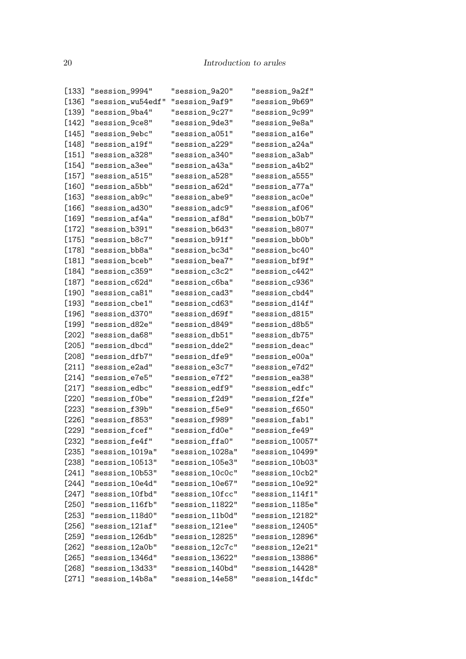| [133]   | "session_9994"    | "session_9a20"  | "session_9a2f"  |
|---------|-------------------|-----------------|-----------------|
| [136]   | "session_wu54edf" | "session_9af9"  | "session_9b69"  |
| [139]   | "session_9ba4"    | "session_9c27"  | "session_9c99"  |
| $[142]$ | "session_9ce8"    | "session_9de3"  | "session_9e8a"  |
| [145]   | "session_9ebc"    | "session_a051"  | "session_a16e"  |
| [148]   | "session_a19f"    | "session_a229"  | "session_a24a"  |
| $[151]$ | "session_a328"    | "session_a340"  | "session_a3ab"  |
| $[154]$ | "session_a3ee"    | "session a43a"  | "session_a4b2"  |
| [157]   | "session_a515"    | "session_a528"  | "session_a555"  |
| $[160]$ | "session_a5bb"    | "session_a62d"  | "session_a77a"  |
| $[163]$ | "session_ab9c"    | "session_abe9"  | "session_ac0e"  |
| $[166]$ | "session_ad30"    | "session_adc9"  | "session_af06"  |
| [169]   | "session_af4a"    | "session_af8d"  | "session_b0b7"  |
| $[172]$ | "session_b391"    | "session_b6d3"  | "session_b807"  |
| $[175]$ | "session_b8c7"    | "session_b91f"  | "session_bb0b"  |
| [178]   | "session_bb8a"    | "session_bc3d"  | "session_bc40"  |
| [181]   | "session_bceb"    | "session_bea7"  | "session_bf9f"  |
| $[184]$ | "session_c359"    | "session_c3c2"  | "session_c442"  |
| [187]   | "session_c62d"    | "session_c6ba"  | "session_c936"  |
| [190]   | "session_ca81"    | "session_cad3"  | "session_cbd4"  |
| [193]   | "session_cbe1"    | "session_cd63"  | "session_d14f"  |
| [196]   | "session_d370"    | "session_d69f"  | "session_d815"  |
| [199]   | "session_d82e"    | "session_d849"  | "session_d8b5"  |
| [202]   | "session_da68"    | "session_db51"  | "session_db75"  |
| $[205]$ | "session_dbcd"    | "session_dde2"  | "session_deac"  |
| $[208]$ | "session_dfb7"    | "session_dfe9"  | "session_e00a"  |
| $[211]$ | "session_e2ad"    | "session_e3c7"  | "session_e7d2"  |
| $[214]$ | "session_e7e5"    | "session_e7f2"  | "session_ea38"  |
| $[217]$ | "session_edbc"    | "session_edf9"  | "session_edfc"  |
| $[220]$ | "session_f0be"    | "session_f2d9"  | "session f2fe"  |
| $[223]$ | "session_f39b"    | "session_f5e9"  | "session_f650"  |
| [226]   | "session_f853"    | "session_f989"  | "session_fab1"  |
| [229]   | "session_fcef"    | "session_fd0e"  | "session_fe49"  |
| $[232]$ | "session_fe4f"    | "session_ffa0"  | "session_10057" |
| $[235]$ | "session_1019a"   | "session_1028a" | "session_10499" |
| [238]   | "session_10513"   | "session_105e3" | "session_10b03" |
| $[241]$ | "session_10b53"   | "session_10c0c" | "session_10cb2" |
| $[244]$ | "session_10e4d"   | "session_10e67" | "session_10e92" |
| $[247]$ | "session_10fbd"   | "session_10fcc" | "session_114f1" |
| $[250]$ | "session_116fb"   | "session_11822" | "session_1185e" |
| $[253]$ | "session_118d0"   | "session_11b0d" | "session_12182" |
| $[256]$ | "session_121af"   | "session_121ee" | "session_12405" |
| $[259]$ | "session_126db"   | "session_12825" | "session_12896" |
| $[262]$ | "session_12a0b"   | "session_12c7c" | "session_12e21" |
| $[265]$ | "session_1346d"   | "session_13622" | "session_13886" |
| $[268]$ | "session_13d33"   | "session_140bd" | "session_14428" |
| $[271]$ | "session_14b8a"   | "session_14e58" | "session_14fdc" |
|         |                   |                 |                 |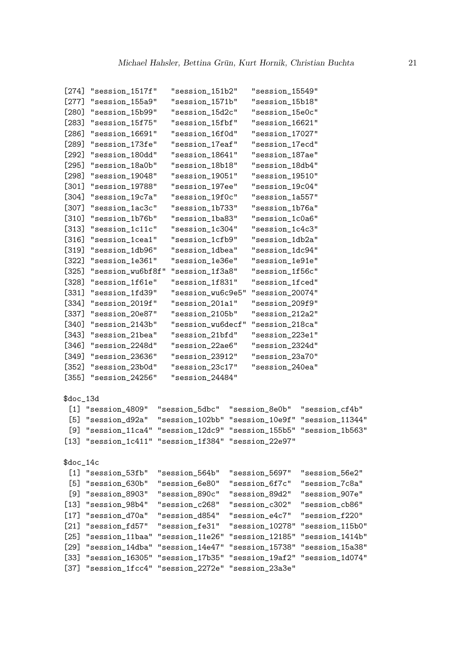| $[274]$   | "session_1517f"                                                     |                 | "session_151b2"   | "session_15549" |                                                 |
|-----------|---------------------------------------------------------------------|-----------------|-------------------|-----------------|-------------------------------------------------|
| $[277]$   | "session_155a9"                                                     |                 | "session_1571b"   | "session_15b18" |                                                 |
| [280]     | "session_15b99"                                                     |                 | "session_15d2c"   | "session_15e0c" |                                                 |
| $[283]$   | "session_15f75"                                                     |                 | "session_15fbf"   | "session_16621" |                                                 |
| [286]     | "session_16691"                                                     |                 | "session_16f0d"   | "session_17027" |                                                 |
| [289]     | "session_173fe"                                                     |                 | "session_17eaf"   | "session_17ecd" |                                                 |
| $[292]$   | "session_180dd"                                                     |                 | "session_18641"   | "session_187ae" |                                                 |
| $[295]$   | "session_18a0b"                                                     |                 | "session_18b18"   | "session_18db4" |                                                 |
| $[298]$   | "session_19048"                                                     |                 | "session_19051"   | "session_19510" |                                                 |
| $[301]$   | "session_19788"                                                     |                 | "session_197ee"   | "session_19c04" |                                                 |
| $[304]$   | "session_19c7a"                                                     |                 | "session_19f0c"   | "session_1a557" |                                                 |
| [307]     | "session_1ac3c"                                                     |                 | "session_1b733"   | "session_1b76a" |                                                 |
| $[310]$   | "session_1b76b"                                                     |                 | "session_1ba83"   | "session_1c0a6" |                                                 |
| $[313]$   | "session_1c11c"                                                     |                 | "session_1c304"   | "session_1c4c3" |                                                 |
| $[316]$   | "session_1cea1"                                                     |                 | "session_1cfb9"   | "session_1db2a" |                                                 |
| $[319]$   | "session_1db96"                                                     |                 | "session_1dbea"   | "session_1dc94" |                                                 |
| $[322]$   | "session_1e361"                                                     |                 | "session_1e36e"   | "session_1e91e" |                                                 |
| $[325]$   | "session_wu6bf8f"                                                   |                 | "session_1f3a8"   | "session_1f56c" |                                                 |
| [328]     | "session_1f61e"                                                     |                 | "session_1f831"   | "session_1fced" |                                                 |
| [331]     | "session_1fd39"                                                     |                 | "session_wu6c9e5" | "session_20074" |                                                 |
| $[334]$   | "session_2019f"                                                     |                 | "session_201a1"   | "session_209f9" |                                                 |
| $[337]$   | "session_20e87"                                                     |                 | "session_2105b"   | "session_212a2" |                                                 |
| $[340]$   | "session_2143b"                                                     |                 | "session_wu6decf" | "session_218ca" |                                                 |
| [343]     | "session_21bea"                                                     |                 | "session_21bfd"   | "session_223e1" |                                                 |
| [346]     | "session_2248d"                                                     |                 | "session_22ae6"   | "session_2324d" |                                                 |
| [349]     | "session_23636"                                                     |                 | "session_23912"   | "session_23a70" |                                                 |
| $[352]$   | "session_23b0d"                                                     |                 | "session_23c17"   | "session_240ea" |                                                 |
| $[355]$   | "session_24256"                                                     |                 | "session_24484"   |                 |                                                 |
|           |                                                                     |                 |                   |                 |                                                 |
| $doc_13d$ |                                                                     |                 |                   |                 |                                                 |
|           | $[1]$ "session_4809"                                                | "session_5dbc"  |                   | "session_8e0b"  | "session_cf4b"                                  |
|           | [5] "session_d92a"                                                  |                 |                   |                 | "session_102bb" "session_10e9f" "session_11344" |
|           | [9] "session_11ca4" "session_12dc9" "session_155b5" "session_1b563" |                 |                   |                 |                                                 |
|           | [13] "session_1c411" "session_1f384" "session_22e97"                |                 |                   |                 |                                                 |
|           |                                                                     |                 |                   |                 |                                                 |
| $doc_14c$ |                                                                     |                 |                   |                 |                                                 |
|           | [1] "session_53fb"                                                  | "session_564b"  |                   | "session_5697"  | "session_56e2"                                  |
| [5]       | "session_630b"                                                      | "session_6e80"  |                   | "session_6f7c"  | "session_7c8a"                                  |
| [9]       | "session_8903"                                                      | "session_890c"  |                   | "session_89d2"  | "session_907e"                                  |
|           | $[13]$ "session_98b4"                                               | "session_c268"  |                   | "session_c302"  | "session_cb86"                                  |
| $[17]$    | "session_d70a"                                                      | "session_d854"  |                   | "session_e4c7"  | "session_f220"                                  |
| $[21]$    | "session_fd57"                                                      | "session_fe31"  |                   | "session_10278" | "session_115b0"                                 |
| $[25]$    | "session_11baa"                                                     | "session_11e26" |                   | "session_12185" | "session_1414b"                                 |
| $[29]$    | "session_14dba"                                                     | "session_14e47" |                   | "session_15738" | "session_15a38"                                 |
| $[33]$    | "session_16305"                                                     | "session_17b35" |                   | "session_19af2" | "session_1d074"                                 |
| $[37]$    | "session_1fcc4"                                                     | "session_2272e" |                   | "session_23a3e" |                                                 |
|           |                                                                     |                 |                   |                 |                                                 |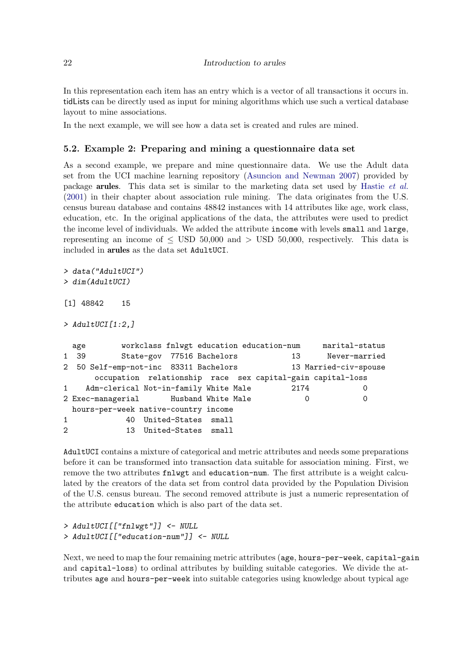In this representation each item has an entry which is a vector of all transactions it occurs in. tidLists can be directly used as input for mining algorithms which use such a vertical database layout to mine associations.

In the next example, we will see how a data set is created and rules are mined.

#### 5.2. Example 2: Preparing and mining a questionnaire data set

As a second example, we prepare and mine questionnaire data. We use the Adult data set from the UCI machine learning repository [\(Asuncion and Newman 2007\)](#page-33-5) provided by package arules. This data set is similar to the marketing data set used by [Hastie](#page-35-1) *et al.* [\(2001\)](#page-35-1) in their chapter about association rule mining. The data originates from the U.S. census bureau database and contains 48842 instances with 14 attributes like age, work class, education, etc. In the original applications of the data, the attributes were used to predict the income level of individuals. We added the attribute income with levels small and large, representing an income of  $\leq$  USD 50,000 and  $>$  USD 50,000, respectively. This data is included in arules as the data set AdultUCI.

```
> data("AdultUCI")
```

```
> dim(AdultUCI)
```

```
[1] 48842 15
```

```
> AdultUCI[1:2,]
```

```
age workclass fnlwgt education education-num marital-status
1 39 State-gov 77516 Bachelors 13 Never-married
2 50 Self-emp-not-inc 83311 Bachelors 13 Married-civ-spouse
     occupation relationship race sex capital-gain capital-loss
1 Adm-clerical Not-in-family White Male 2174 0
2 Exec-managerial Husband White Male 0 0
 hours-per-week native-country income
1 40 United-States small
2 13 United-States small
```
AdultUCI contains a mixture of categorical and metric attributes and needs some preparations before it can be transformed into transaction data suitable for association mining. First, we remove the two attributes fnlwgt and education-num. The first attribute is a weight calculated by the creators of the data set from control data provided by the Population Division of the U.S. census bureau. The second removed attribute is just a numeric representation of the attribute education which is also part of the data set.

```
> AdultUCI[["fnlwgt"]] <- NULL
> AdultUCI[["education-num"]] <- NULL
```
Next, we need to map the four remaining metric attributes (age, hours-per-week, capital-gain and capital-loss) to ordinal attributes by building suitable categories. We divide the attributes age and hours-per-week into suitable categories using knowledge about typical age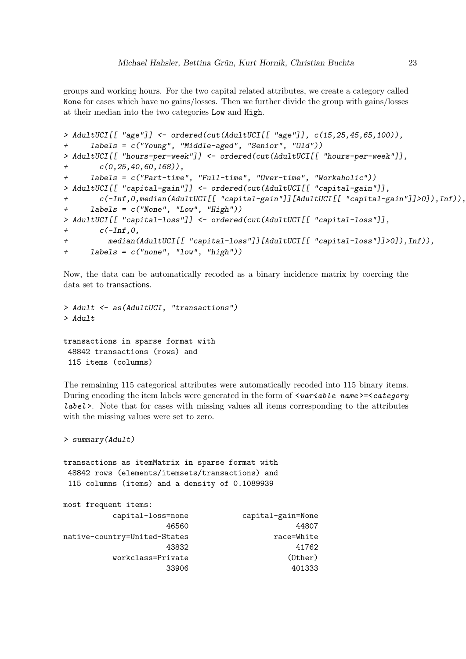groups and working hours. For the two capital related attributes, we create a category called None for cases which have no gains/losses. Then we further divide the group with gains/losses at their median into the two categories Low and High.

```
> AdultUCI[[ "age"]] <- ordered(cut(AdultUCI[[ "age"]], c(15,25,45,65,100)),
+ labels = c("Young", "Middle-aged", "Senior", "Old"))
> AdultUCI[[ "hours-per-week"]] <- ordered(cut(AdultUCI[[ "hours-per-week"]],
       + c(0,25,40,60,168)),
+ labels = c("Part-time", "Full-time", "Over-time", "Workaholic"))
> AdultUCI[[ "capital-gain"]] <- ordered(cut(AdultUCI[[ "capital-gain"]],
+ c(-Inf,0,median(AdultUCI[[ "capital-gain"]][AdultUCI[[ "capital-gain"]]>0]),Inf)),
+ labels = c("None", "Low", "High"))
> AdultUCI[[ "capital-loss"]] <- ordered(cut(AdultUCI[[ "capital-loss"]],
+ c(-Inf,0,
         + median(AdultUCI[[ "capital-loss"]][AdultUCI[[ "capital-loss"]]>0]),Inf)),
+ labels = c("none", "low", "high"))
```
Now, the data can be automatically recoded as a binary incidence matrix by coercing the data set to transactions.

```
> Adult <- as(AdultUCI, "transactions")
> Adult
transactions in sparse format with
48842 transactions (rows) and
115 items (columns)
```
The remaining 115 categorical attributes were automatically recoded into 115 binary items. During encoding the item labels were generated in the form of  $\leq$  variable name  $>=$  category label >. Note that for cases with missing values all items corresponding to the attributes with the missing values were set to zero.

```
> summary(Adult)
```
most frequent items:

transactions as itemMatrix in sparse format with 48842 rows (elements/itemsets/transactions) and 115 columns (items) and a density of 0.1089939

| mose iteduente regns.        |                   |
|------------------------------|-------------------|
| capital-loss=none            | capital-gain=None |
| 46560                        | 44807             |
| native-country=United-States | race=White        |
| 43832                        | 41762             |
| workclass=Private            | $(0$ ther $)$     |
| 33906                        | 401333            |
|                              |                   |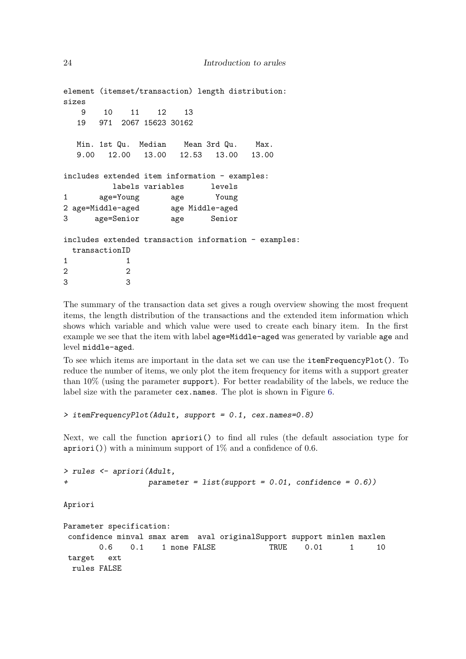```
element (itemset/transaction) length distribution:
sizes
   9 10 11 12 13
  19 971 2067 15623 30162
  Min. 1st Qu. Median Mean 3rd Qu. Max.
  9.00 12.00 13.00 12.53 13.00 13.00
includes extended item information - examples:
        labels variables levels
1 age=Young age Young
2 age=Middle-aged age Middle-aged
3 age=Senior age Senior
includes extended transaction information - examples:
 transactionID
1 1
2 2
3 3
```
The summary of the transaction data set gives a rough overview showing the most frequent items, the length distribution of the transactions and the extended item information which shows which variable and which value were used to create each binary item. In the first example we see that the item with label age=Middle-aged was generated by variable age and level middle-aged.

To see which items are important in the data set we can use the itemFrequencyPlot(). To reduce the number of items, we only plot the item frequency for items with a support greater than 10% (using the parameter support). For better readability of the labels, we reduce the label size with the parameter cex.names. The plot is shown in Figure [6.](#page-24-0)

```
> itemFrequencyPlot(Adult, support = 0.1, cex.names=0.8)
```
Next, we call the function apriori() to find all rules (the default association type for  $a priori()$  with a minimum support of  $1\%$  and a confidence of 0.6.

```
> rules <- apriori(Adult,
                   + parameter = list(support = 0.01, confidence = 0.6))
```
Apriori

```
Parameter specification:
confidence minval smax arem aval originalSupport support minlen maxlen
       0.6  0.1  1 none FALSE  TRUE  0.01  1  10
target ext
 rules FALSE
```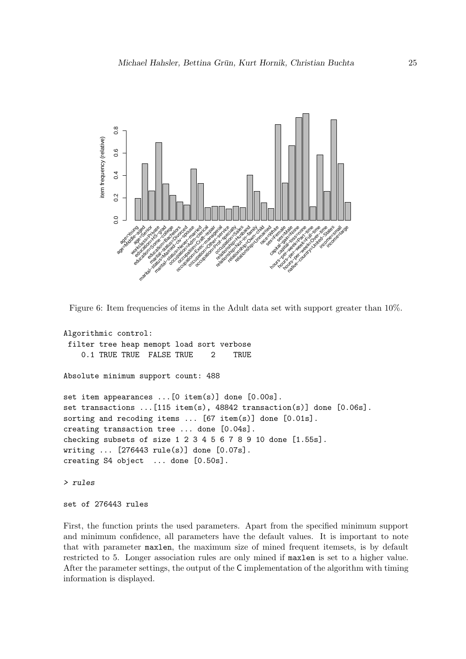

<span id="page-24-0"></span>Figure 6: Item frequencies of items in the Adult data set with support greater than 10%.

```
Algorithmic control:
filter tree heap memopt load sort verbose
   0.1 TRUE TRUE FALSE TRUE 2 TRUE
Absolute minimum support count: 488
set item appearances ...[0 item(s)] done [0.00s].
set transactions ...[115 item(s), 48842 transaction(s)] done [0.06s].
sorting and recoding items ... [67 item(s)] done [0.01s].
creating transaction tree ... done [0.04s].
checking subsets of size 1 2 3 4 5 6 7 8 9 10 done [1.55s].
writing ... [276443 rule(s)] done [0.07s].
creating S4 object ... done [0.50s].
> rules
set of 276443 rules
```
First, the function prints the used parameters. Apart from the specified minimum support and minimum confidence, all parameters have the default values. It is important to note that with parameter maxlen, the maximum size of mined frequent itemsets, is by default restricted to 5. Longer association rules are only mined if maxlen is set to a higher value. After the parameter settings, the output of the C implementation of the algorithm with timing information is displayed.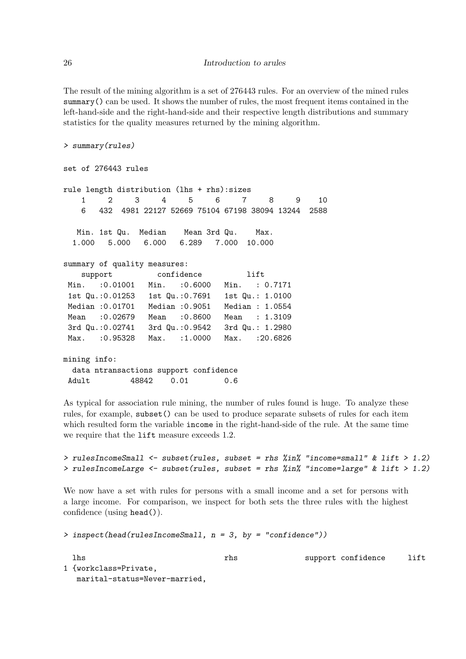The result of the mining algorithm is a set of 276443 rules. For an overview of the mined rules summary() can be used. It shows the number of rules, the most frequent items contained in the left-hand-side and the right-hand-side and their respective length distributions and summary statistics for the quality measures returned by the mining algorithm.

```
> summary(rules)
```

```
set of 276443 rules
rule length distribution (lhs + rhs):sizes
   1 2 3 4 5 6 7 8 9 10
   6 432 4981 22127 52669 75104 67198 38094 13244 2588
  Min. 1st Qu. Median Mean 3rd Qu. Max.
 1.000 5.000 6.000 6.289 7.000 10.000
summary of quality measures:
   support confidence lift
Min. :0.01001 Min. :0.6000 Min. : 0.7171
1st Qu.:0.01253 1st Qu.:0.7691 1st Qu.: 1.0100
Median :0.01701 Median :0.9051 Median : 1.0554
Mean :0.02679 Mean :0.8600 Mean : 1.3109
3rd Qu.:0.02741 3rd Qu.:0.9542 3rd Qu.: 1.2980
Max. :0.95328 Max. :1.0000 Max. :20.6826
mining info:
 data ntransactions support confidence
Adult 48842 0.01 0.6
```
As typical for association rule mining, the number of rules found is huge. To analyze these rules, for example, subset() can be used to produce separate subsets of rules for each item which resulted form the variable income in the right-hand-side of the rule. At the same time we require that the lift measure exceeds 1.2.

```
> rulesIncomeSmall <- subset(rules, subset = rhs %in% "income=small" & lift > 1.2)
> rulesIncomeLarge <- subset(rules, subset = rhs %in% "income=large" & lift > 1.2)
```
We now have a set with rules for persons with a small income and a set for persons with a large income. For comparison, we inspect for both sets the three rules with the highest confidence (using head()).

```
> inspect(head(rulesIncomeSmall, n = 3, by = "confidence"))
```
lhs rhs support confidence lift

1 {workclass=Private, marital-status=Never-married,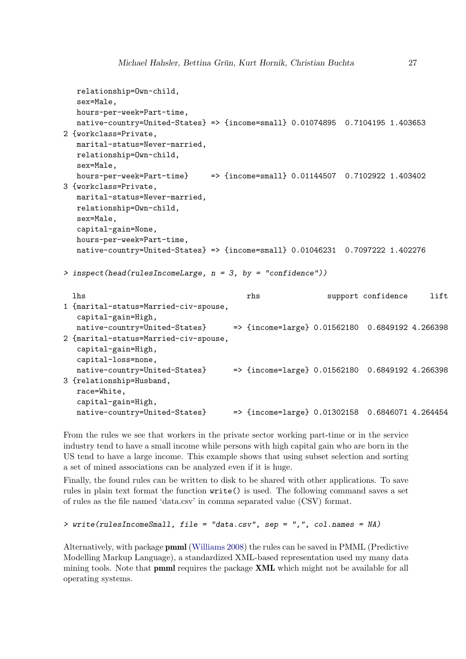```
relationship=Own-child,
  sex=Male,
  hours-per-week=Part-time,
  native-country=United-States} => {income=small} 0.01074895 0.7104195 1.403653
2 {workclass=Private,
  marital-status=Never-married,
  relationship=Own-child,
  sex=Male,
  hours-per-week=Part-time} => {income=small} 0.01144507 0.7102922 1.403402
3 {workclass=Private,
  marital-status=Never-married,
  relationship=Own-child,
  sex=Male,
  capital-gain=None,
  hours-per-week=Part-time,
  native-country=United-States} => {income=small} 0.01046231 0.7097222 1.402276
> inspect(head(rulesIncomeLarge, n = 3, by = "confidence"))
 lhs rhs support confidence lift
1 {marital-status=Married-civ-spouse,
  capital-gain=High,
  native-country=United-States} => {income=large} 0.01562180 0.6849192 4.266398
2 {marital-status=Married-civ-spouse,
  capital-gain=High,
  capital-loss=none,
  native-country=United-States} => {income=large} 0.01562180 0.6849192 4.266398
3 {relationship=Husband,
  race=White,
  capital-gain=High,
  native-country=United-States} => {income=large} 0.01302158 0.6846071 4.264454
```
From the rules we see that workers in the private sector working part-time or in the service industry tend to have a small income while persons with high capital gain who are born in the US tend to have a large income. This example shows that using subset selection and sorting a set of mined associations can be analyzed even if it is huge.

Finally, the found rules can be written to disk to be shared with other applications. To save rules in plain text format the function write() is used. The following command saves a set of rules as the file named 'data.csv' in comma separated value (CSV) format.

#### *> write(rulesIncomeSmall, file = "data.csv", sep = ",", col.names = NA)*

Alternatively, with package pmml [\(Williams 2008\)](#page-36-3) the rules can be saved in PMML (Predictive Modelling Markup Language), a standardized XML-based representation used my many data mining tools. Note that **pmml** requires the package **XML** which might not be available for all operating systems.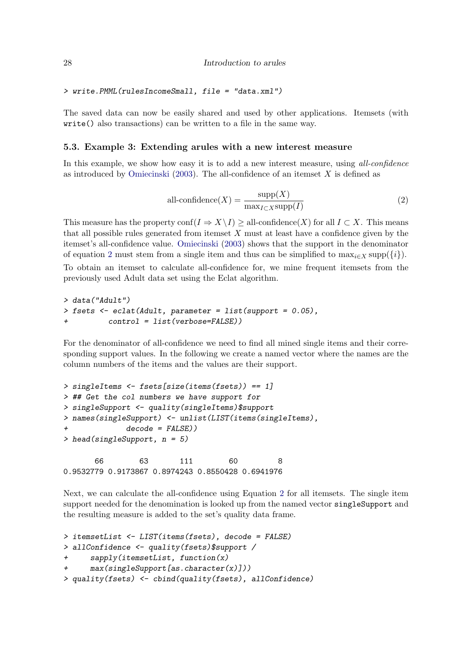```
> write.PMML(rulesIncomeSmall, file = "data.xml")
```
The saved data can now be easily shared and used by other applications. Itemsets (with write() also transactions) can be written to a file in the same way.

#### 5.3. Example 3: Extending arules with a new interest measure

In this example, we show how easy it is to add a new interest measure, using *all-confidence* as introduced by [Omiecinski](#page-35-4) [\(2003\)](#page-35-4). The all-confidence of an itemset  $X$  is defined as

<span id="page-27-0"></span>
$$
all\text{-confidence}(X) = \frac{\text{supp}(X)}{\max_{I \subset X} \text{supp}(I)}\tag{2}
$$

This measure has the property conf( $I \Rightarrow X \setminus I$ ) ≥ all-confidence(X) for all  $I \subset X$ . This means that all possible rules generated from itemset  $X$  must at least have a confidence given by the itemset's all-confidence value. [Omiecinski](#page-35-4) [\(2003\)](#page-35-4) shows that the support in the denominator of equation [2](#page-27-0) must stem from a single item and thus can be simplified to  $\max_{i \in X} \text{supp}(\{i\}).$ 

To obtain an itemset to calculate all-confidence for, we mine frequent itemsets from the previously used Adult data set using the Eclat algorithm.

```
> data("Adult")
> fsets <- eclat(Adult, parameter = list(support = 0.05),
+ control = list(verbose=FALSE))
```
For the denominator of all-confidence we need to find all mined single items and their corresponding support values. In the following we create a named vector where the names are the column numbers of the items and the values are their support.

```
> singleItems <- fsets[size(items(fsets)) == 1]
> ## Get the col numbers we have support for
> singleSupport <- quality(singleItems)$support
> names(singleSupport) <- unlist(LIST(items(singleItems),
            + decode = FALSE))
> head(singleSupport, n = 5)
      66 63 111 60 8
```
0.9532779 0.9173867 0.8974243 0.8550428 0.6941976

Next, we can calculate the all-confidence using Equation [2](#page-27-0) for all itemsets. The single item support needed for the denomination is looked up from the named vector singleSupport and the resulting measure is added to the set's quality data frame.

```
> itemsetList <- LIST(items(fsets), decode = FALSE)
> allConfidence <- quality(fsets)$support /
      + sapply(itemsetList, function(x)
      + max(singleSupport[as.character(x)]))
> quality(fsets) <- cbind(quality(fsets), allConfidence)
```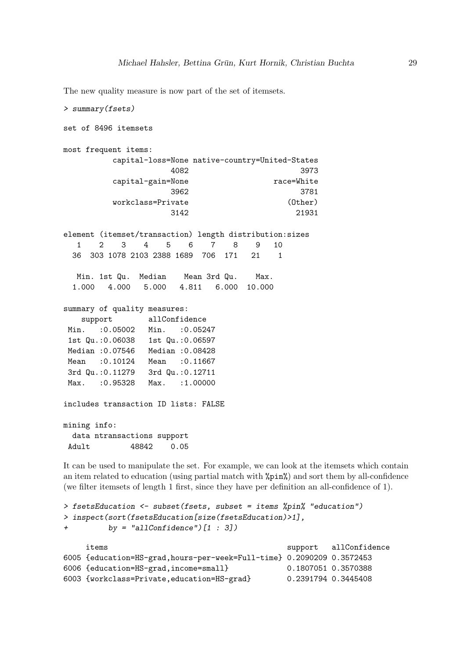The new quality measure is now part of the set of itemsets.

```
> summary(fsets)
set of 8496 itemsets
most frequent items:
        capital-loss=None native-country=United-States
                   4082 3973
        capital-gain=None race=White
                   3962 3781
        workclass=Private (Other)
                   3142 21931
element (itemset/transaction) length distribution:sizes
  1 2 3 4 5 6 7 8 9 10
 36 303 1078 2103 2388 1689 706 171 21 1
  Min. 1st Qu. Median Mean 3rd Qu. Max.
 1.000 4.000 5.000 4.811 6.000 10.000
summary of quality measures:
   support allConfidence
Min. : 0.05002 Min. : 0.05247
1st Qu.:0.06038 1st Qu.:0.06597
Median :0.07546 Median :0.08428
Mean :0.10124 Mean :0.11667
3rd Qu.:0.11279 3rd Qu.:0.12711
Max. : 0.95328 Max. : 1.00000
includes transaction ID lists: FALSE
mining info:
 data ntransactions support
Adult 48842 0.05
```
It can be used to manipulate the set. For example, we can look at the itemsets which contain an item related to education (using partial match with %pin%) and sort them by all-confidence (we filter itemsets of length 1 first, since they have per definition an all-confidence of 1).

```
> fsetsEducation <- subset(fsets, subset = items %pin% "education")
> inspect(sort(fsetsEducation[size(fsetsEducation)>1],
+ by = "allConfidence")[1 : 3])
    items support all Confidence
6005 {education=HS-grad,hours-per-week=Full-time} 0.2090209 0.3572453
6006 {education=HS-grad,income=small} 0.1807051 0.3570388
6003 {workclass=Private,education=HS-grad} 0.2391794 0.3445408
```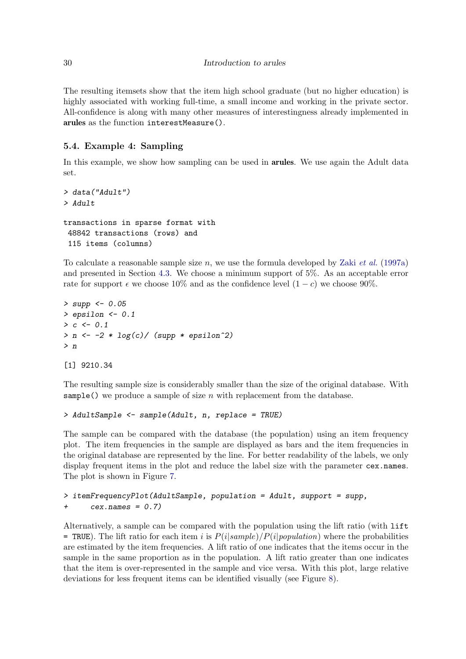The resulting itemsets show that the item high school graduate (but no higher education) is highly associated with working full-time, a small income and working in the private sector. All-confidence is along with many other measures of interestingness already implemented in arules as the function interestMeasure().

## 5.4. Example 4: Sampling

In this example, we show how sampling can be used in **arules**. We use again the Adult data set.

```
> data("Adult")
> Adult
transactions in sparse format with
48842 transactions (rows) and
115 items (columns)
```
To calculate a reasonable sample size n, we use the formula developed by Zaki *[et al.](#page-36-4)* [\(1997a\)](#page-36-4) and presented in Section [4.3.](#page-11-0) We choose a minimum support of 5%. As an acceptable error rate for support  $\epsilon$  we choose 10% and as the confidence level  $(1 - c)$  we choose 90%.

```
> supp <- 0.05
> epsilon <- 0.1
> c <- 0.1
> n <- -2 * log(c)/ (supp * epsilon^2)
> n
```
[1] 9210.34

The resulting sample size is considerably smaller than the size of the original database. With sample() we produce a sample of size n with replacement from the database.

```
> AdultSample <- sample(Adult, n, replace = TRUE)
```
The sample can be compared with the database (the population) using an item frequency plot. The item frequencies in the sample are displayed as bars and the item frequencies in the original database are represented by the line. For better readability of the labels, we only display frequent items in the plot and reduce the label size with the parameter cex.names. The plot is shown in Figure [7.](#page-30-0)

```
> itemFrequencyPlot(AdultSample, population = Adult, support = supp,
+ cex.names = 0.7)
```
Alternatively, a sample can be compared with the population using the lift ratio (with lift  $=$  TRUE). The lift ratio for each item i is  $P(i|sample)/P(i|population)$  where the probabilities are estimated by the item frequencies. A lift ratio of one indicates that the items occur in the sample in the same proportion as in the population. A lift ratio greater than one indicates that the item is over-represented in the sample and vice versa. With this plot, large relative deviations for less frequent items can be identified visually (see Figure [8\)](#page-31-0).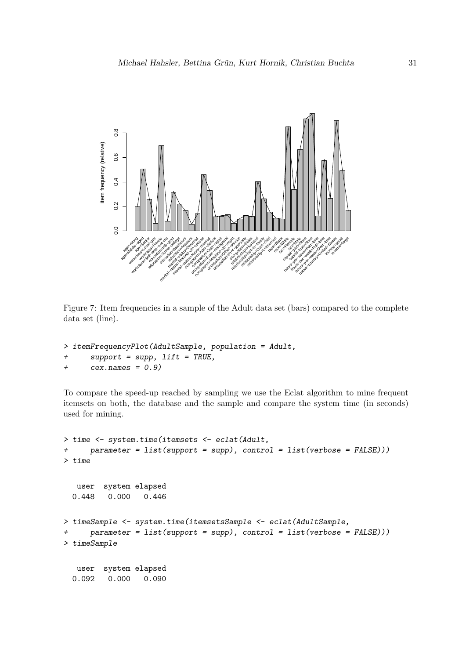

<span id="page-30-0"></span>Figure 7: Item frequencies in a sample of the Adult data set (bars) compared to the complete data set (line).

```
> itemFrequencyPlot(AdultSample, population = Adult,
     + support = supp, lift = TRUE,
+ cex.names = 0.9)
```
To compare the speed-up reached by sampling we use the Eclat algorithm to mine frequent itemsets on both, the database and the sample and compare the system time (in seconds) used for mining.

```
> time <- system.time(itemsets <- eclat(Adult,
+ parameter = list(support = supp), control = list(verbose = FALSE)))
> time
  user system elapsed
 0.448 0.000 0.446
> timeSample <- system.time(itemsetsSample <- eclat(AdultSample,
     + parameter = list(support = supp), control = list(verbose = FALSE)))
> timeSample
  user system elapsed
 0.092 0.000 0.090
```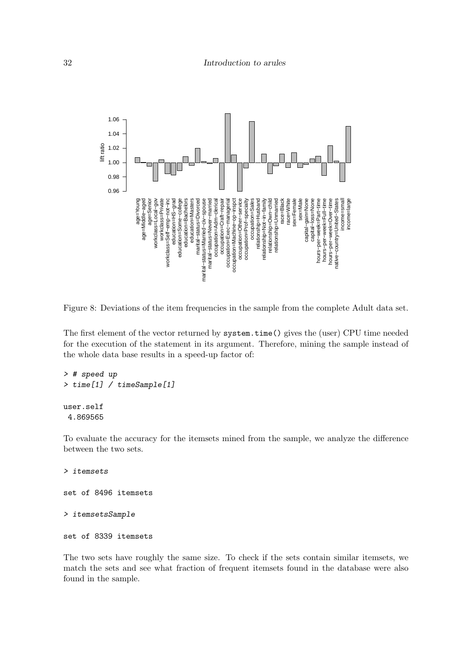

<span id="page-31-0"></span>Figure 8: Deviations of the item frequencies in the sample from the complete Adult data set.

The first element of the vector returned by system.time() gives the (user) CPU time needed for the execution of the statement in its argument. Therefore, mining the sample instead of the whole data base results in a speed-up factor of:

```
> # speed up
> time[1] / timeSample[1]
user.self
4.869565
```
To evaluate the accuracy for the itemsets mined from the sample, we analyze the difference between the two sets.

*> itemsets* set of 8496 itemsets *> itemsetsSample*

```
set of 8339 itemsets
```
The two sets have roughly the same size. To check if the sets contain similar itemsets, we match the sets and see what fraction of frequent itemsets found in the database were also found in the sample.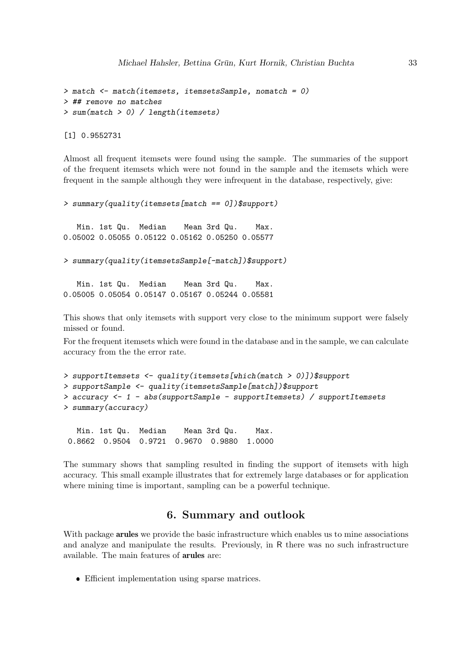```
> match <- match(itemsets, itemsetsSample, nomatch = 0)
> ## remove no matches
> sum(match > 0) / length(itemsets)
```
[1] 0.9552731

Almost all frequent itemsets were found using the sample. The summaries of the support of the frequent itemsets which were not found in the sample and the itemsets which were frequent in the sample although they were infrequent in the database, respectively, give:

```
> summary(quality(itemsets[match == 0])$support)
```
Min. 1st Qu. Median Mean 3rd Qu. Max. 0.05002 0.05055 0.05122 0.05162 0.05250 0.05577

```
> summary(quality(itemsetsSample[-match])$support)
```
Min. 1st Qu. Median Mean 3rd Qu. Max. 0.05005 0.05054 0.05147 0.05167 0.05244 0.05581

This shows that only itemsets with support very close to the minimum support were falsely missed or found.

For the frequent itemsets which were found in the database and in the sample, we can calculate accuracy from the the error rate.

```
> supportItemsets <- quality(itemsets[which(match > 0)])$support
> supportSample <- quality(itemsetsSample[match])$support
> accuracy <- 1 - abs(supportSample - supportItemsets) / supportItemsets
> summary(accuracy)
```
Min. 1st Qu. Median Mean 3rd Qu. Max. 0.8662 0.9504 0.9721 0.9670 0.9880 1.0000

The summary shows that sampling resulted in finding the support of itemsets with high accuracy. This small example illustrates that for extremely large databases or for application where mining time is important, sampling can be a powerful technique.

# 6. Summary and outlook

With package **arules** we provide the basic infrastructure which enables us to mine associations and analyze and manipulate the results. Previously, in R there was no such infrastructure available. The main features of arules are:

❼ Efficient implementation using sparse matrices.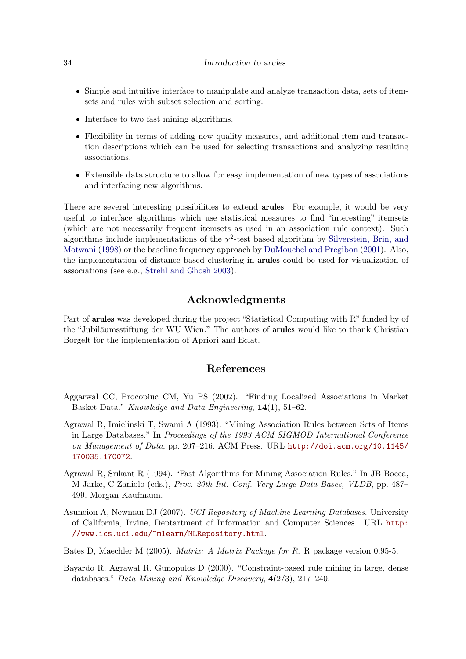- ❼ Simple and intuitive interface to manipulate and analyze transaction data, sets of itemsets and rules with subset selection and sorting.
- ❼ Interface to two fast mining algorithms.
- ❼ Flexibility in terms of adding new quality measures, and additional item and transaction descriptions which can be used for selecting transactions and analyzing resulting associations.
- Extensible data structure to allow for easy implementation of new types of associations and interfacing new algorithms.

There are several interesting possibilities to extend **arules**. For example, it would be very useful to interface algorithms which use statistical measures to find "interesting" itemsets (which are not necessarily frequent itemsets as used in an association rule context). Such algorithms include implementations of the  $\chi^2$ -test based algorithm by [Silverstein, Brin, and](#page-35-13) [Motwani](#page-35-13) [\(1998\)](#page-35-13) or the baseline frequency approach by [DuMouchel and Pregibon](#page-34-13) [\(2001\)](#page-34-13). Also, the implementation of distance based clustering in arules could be used for visualization of associations (see e.g., [Strehl and Ghosh 2003\)](#page-36-8).

# Acknowledgments

Part of arules was developed during the project "Statistical Computing with R" funded by of the "Jubiläumsstiftung der WU Wien." The authors of **arules** would like to thank Christian Borgelt for the implementation of Apriori and Eclat.

### References

- <span id="page-33-4"></span>Aggarwal CC, Procopiuc CM, Yu PS (2002). "Finding Localized Associations in Market Basket Data." *Knowledge and Data Engineering*, 14(1), 51–62.
- <span id="page-33-0"></span>Agrawal R, Imielinski T, Swami A (1993). "Mining Association Rules between Sets of Items in Large Databases." In *Proceedings of the 1993 ACM SIGMOD International Conference on Management of Data*, pp. 207–216. ACM Press. URL [http://doi.acm.org/10.1145/](http://doi.acm.org/10.1145/170035.170072) [170035.170072](http://doi.acm.org/10.1145/170035.170072).
- <span id="page-33-1"></span>Agrawal R, Srikant R (1994). "Fast Algorithms for Mining Association Rules." In JB Bocca, M Jarke, C Zaniolo (eds.), *Proc. 20th Int. Conf. Very Large Data Bases, VLDB*, pp. 487– 499. Morgan Kaufmann.
- <span id="page-33-5"></span>Asuncion A, Newman DJ (2007). *UCI Repository of Machine Learning Databases*. University of California, Irvine, Deptartment of Information and Computer Sciences. URL [http:](http://www.ics.uci.edu/~mlearn/MLRepository.html) [//www.ics.uci.edu/~mlearn/MLRepository.html](http://www.ics.uci.edu/~mlearn/MLRepository.html).
- <span id="page-33-2"></span>Bates D, Maechler M (2005). *Matrix: A Matrix Package for R*. R package version 0.95-5.
- <span id="page-33-3"></span>Bayardo R, Agrawal R, Gunopulos D (2000). "Constraint-based rule mining in large, dense databases." *Data Mining and Knowledge Discovery*, 4(2/3), 217–240.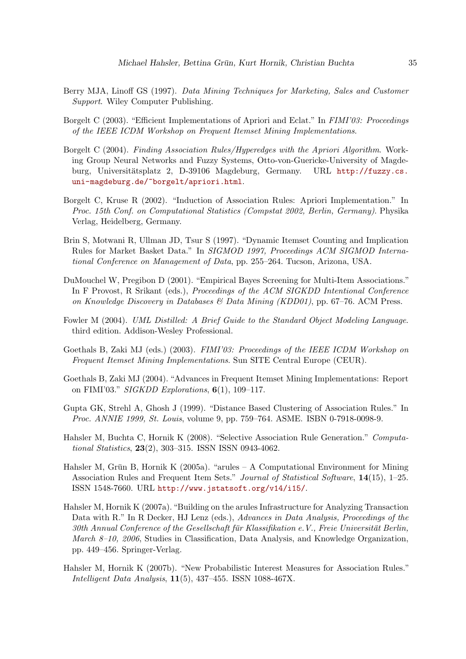- <span id="page-34-5"></span>Berry MJA, Linoff GS (1997). *Data Mining Techniques for Marketing, Sales and Customer Support*. Wiley Computer Publishing.
- <span id="page-34-2"></span>Borgelt C (2003). "Efficient Implementations of Apriori and Eclat." In *FIMI'03: Proceedings of the IEEE ICDM Workshop on Frequent Itemset Mining Implementations*.
- <span id="page-34-7"></span>Borgelt C (2004). *Finding Association Rules/Hyperedges with the Apriori Algorithm*. Working Group Neural Networks and Fuzzy Systems, Otto-von-Guericke-University of Magdeburg, Universitätsplatz 2, D-39106 Magdeburg, Germany. URL [http://fuzzy.cs.](http://fuzzy.cs.uni-magdeburg.de/~borgelt/apriori.html) [uni-magdeburg.de/~borgelt/apriori.html](http://fuzzy.cs.uni-magdeburg.de/~borgelt/apriori.html).
- <span id="page-34-6"></span>Borgelt C, Kruse R (2002). "Induction of Association Rules: Apriori Implementation." In *Proc. 15th Conf. on Computational Statistics (Compstat 2002, Berlin, Germany)*. Physika Verlag, Heidelberg, Germany.
- <span id="page-34-0"></span>Brin S, Motwani R, Ullman JD, Tsur S (1997). "Dynamic Itemset Counting and Implication Rules for Market Basket Data." In *SIGMOD 1997, Proceedings ACM SIGMOD International Conference on Management of Data*, pp. 255–264. Tucson, Arizona, USA.
- <span id="page-34-13"></span>DuMouchel W, Pregibon D (2001). "Empirical Bayes Screening for Multi-Item Associations." In F Provost, R Srikant (eds.), *Proceedings of the ACM SIGKDD Intentional Conference on Knowledge Discovery in Databases & Data Mining (KDD01)*, pp. 67–76. ACM Press.
- <span id="page-34-4"></span>Fowler M (2004). *UML Distilled: A Brief Guide to the Standard Object Modeling Language*. third edition. Addison-Wesley Professional.
- <span id="page-34-8"></span>Goethals B, Zaki MJ (eds.) (2003). *FIMI'03: Proceedings of the IEEE ICDM Workshop on Frequent Itemset Mining Implementations*. Sun SITE Central Europe (CEUR).
- <span id="page-34-1"></span>Goethals B, Zaki MJ (2004). "Advances in Frequent Itemset Mining Implementations: Report on FIMI'03." *SIGKDD Explorations*, 6(1), 109–117.
- <span id="page-34-11"></span>Gupta GK, Strehl A, Ghosh J (1999). "Distance Based Clustering of Association Rules." In *Proc. ANNIE 1999, St. Louis*, volume 9, pp. 759–764. ASME. ISBN 0-7918-0098-9.
- <span id="page-34-9"></span>Hahsler M, Buchta C, Hornik K (2008). "Selective Association Rule Generation." *Computational Statistics*, 23(2), 303–315. ISSN ISSN 0943-4062.
- <span id="page-34-3"></span>Hahsler M, Grün B, Hornik K (2005a). "arules – A Computational Environment for Mining Association Rules and Frequent Item Sets." *Journal of Statistical Software*, 14(15), 1–25. ISSN 1548-7660. URL <http://www.jstatsoft.org/v14/i15/>.
- <span id="page-34-12"></span>Hahsler M, Hornik K (2007a). "Building on the arules Infrastructure for Analyzing Transaction Data with R." In R Decker, HJ Lenz (eds.), *Advances in Data Analysis, Proceedings of the 30th Annual Conference of the Gesellschaft für Klassifikation e.V., Freie Universität Berlin, March 8–10, 2006*, Studies in Classification, Data Analysis, and Knowledge Organization, pp. 449–456. Springer-Verlag.
- <span id="page-34-10"></span>Hahsler M, Hornik K (2007b). "New Probabilistic Interest Measures for Association Rules." *Intelligent Data Analysis*, 11(5), 437–455. ISSN 1088-467X.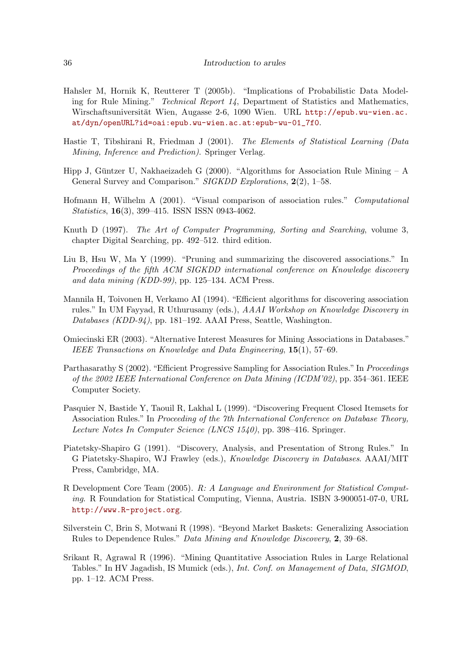- <span id="page-35-10"></span>Hahsler M, Hornik K, Reutterer T (2005b). "Implications of Probabilistic Data Modeling for Rule Mining." *Technical Report 14*, Department of Statistics and Mathematics, Wirschaftsuniversität Wien, Augasse 2-6, 1090 Wien. URL [http://epub.wu-wien.ac.](http://epub.wu-wien.ac.at/dyn/openURL?id=oai:epub.wu-wien.ac.at:epub-wu-01_7f0) [at/dyn/openURL?id=oai:epub.wu-wien.ac.at:epub-wu-01\\_7f0](http://epub.wu-wien.ac.at/dyn/openURL?id=oai:epub.wu-wien.ac.at:epub-wu-01_7f0).
- <span id="page-35-1"></span>Hastie T, Tibshirani R, Friedman J (2001). *The Elements of Statistical Learning (Data Mining, Inference and Prediction)*. Springer Verlag.
- <span id="page-35-2"></span>Hipp J, Güntzer U, Nakhaeizadeh G (2000). "Algorithms for Association Rule Mining – A General Survey and Comparison." *SIGKDD Explorations*, 2(2), 1–58.
- <span id="page-35-12"></span>Hofmann H, Wilhelm A (2001). "Visual comparison of association rules." *Computational Statistics*, 16(3), 399–415. ISSN ISSN 0943-4062.
- <span id="page-35-7"></span>Knuth D (1997). *The Art of Computer Programming, Sorting and Searching*, volume 3, chapter Digital Searching, pp. 492–512. third edition.
- <span id="page-35-11"></span>Liu B, Hsu W, Ma Y (1999). "Pruning and summarizing the discovered associations." In *Proceedings of the fifth ACM SIGKDD international conference on Knowledge discovery and data mining (KDD-99)*, pp. 125–134. ACM Press.
- <span id="page-35-8"></span>Mannila H, Toivonen H, Verkamo AI (1994). "Efficient algorithms for discovering association rules." In UM Fayyad, R Uthurusamy (eds.), *AAAI Workshop on Knowledge Discovery in Databases (KDD-94)*, pp. 181–192. AAAI Press, Seattle, Washington.
- <span id="page-35-4"></span>Omiecinski ER (2003). "Alternative Interest Measures for Mining Associations in Databases." *IEEE Transactions on Knowledge and Data Engineering*, 15(1), 57–69.
- <span id="page-35-9"></span>Parthasarathy S (2002). "Efficient Progressive Sampling for Association Rules." In *Proceedings of the 2002 IEEE International Conference on Data Mining (ICDM'02)*, pp. 354–361. IEEE Computer Society.
- <span id="page-35-3"></span>Pasquier N, Bastide Y, Taouil R, Lakhal L (1999). "Discovering Frequent Closed Itemsets for Association Rules." In *Proceeding of the 7th International Conference on Database Theory, Lecture Notes In Computer Science (LNCS 1540)*, pp. 398–416. Springer.
- <span id="page-35-0"></span>Piatetsky-Shapiro G (1991). "Discovery, Analysis, and Presentation of Strong Rules." In G Piatetsky-Shapiro, WJ Frawley (eds.), *Knowledge Discovery in Databases*. AAAI/MIT Press, Cambridge, MA.
- <span id="page-35-5"></span>R Development Core Team (2005). *R: A Language and Environment for Statistical Computing*. R Foundation for Statistical Computing, Vienna, Austria. ISBN 3-900051-07-0, URL <http://www.R-project.org>.
- <span id="page-35-13"></span>Silverstein C, Brin S, Motwani R (1998). "Beyond Market Baskets: Generalizing Association Rules to Dependence Rules." *Data Mining and Knowledge Discovery*, 2, 39–68.
- <span id="page-35-6"></span>Srikant R, Agrawal R (1996). "Mining Quantitative Association Rules in Large Relational Tables." In HV Jagadish, IS Mumick (eds.), *Int. Conf. on Management of Data, SIGMOD*, pp. 1–12. ACM Press.